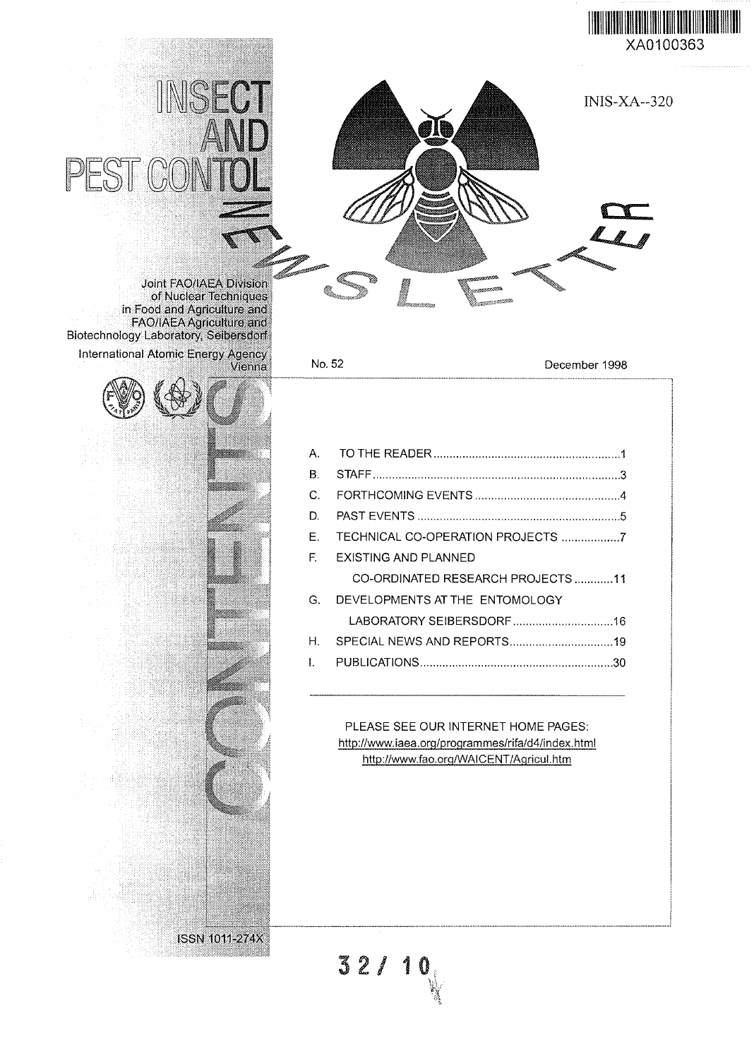





Joint FAO'IAEA Division of Nuclear Techniques in Food and Agriculture and FAO/IAEA Agriculture and Biotechnology Laboratory, Seibersdorf

 $\mathbb{C}$ 

PEST

INSECT

International Atomic Energy Agency<br>Vienna



Vienna No. 52 December 1998

| $\mathsf{A}$ . |                                  |
|----------------|----------------------------------|
| $\mathbf B$    |                                  |
| C.             |                                  |
| D.             |                                  |
| $\mathsf F$ .  |                                  |
| E.             | EXISTING AND PLANNED             |
|                | CO-ORDINATED RESEARCH PROJECTS11 |
| G.             | DEVELOPMENTS AT THE ENTOMOLOGY   |
|                |                                  |
| H              |                                  |
|                |                                  |

PLEASE SEE OUR INTERNET HOME PAGES: http://www.iaea.org/programmes/rifa/d4/index.html http://www.fao.org/WAICENT/Aqricul.htm

 $32/10$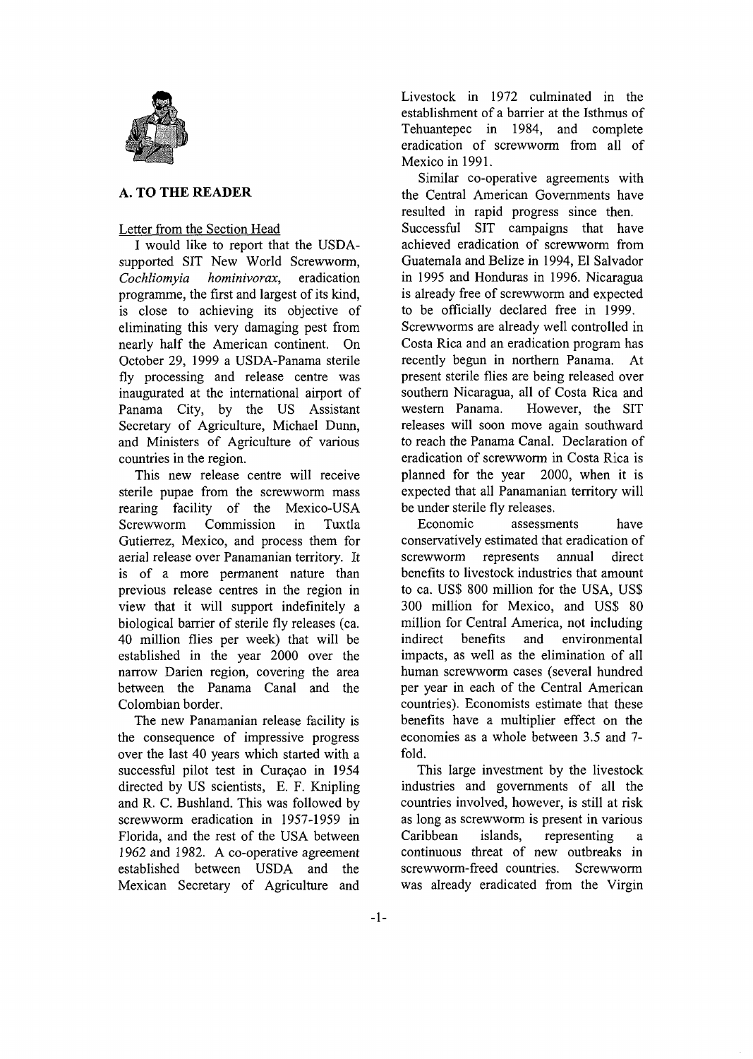

### **A. TO THE READER**

### Letter from the Section Head

I would like to report that the USDAsupported SIT New World Screwworm, *Cochliomyia hominivorax,* eradication programme, the first and largest of its kind, is close to achieving its objective of eliminating this very damaging pest from nearly half the American continent. On October 29, 1999 a USDA-Panama sterile fly processing and release centre was inaugurated at the international airport of Panama City, by the US Assistant Secretary of Agriculture, Michael Dunn, and Ministers of Agriculture of various countries in the region.

This new release centre will receive sterile pupae from the screwworm mass rearing facility of the Mexico-USA Screwworm Commission in Tuxtla Gutierrez, Mexico, and process them for aerial release over Panamanian territory. It is of a more permanent nature than previous release centres in the region in view that it will support indefinitely a biological barrier of sterile fly releases (ca. 40 million flies per week) that will be established in the year 2000 over the narrow Darien region, covering the area between the Panama Canal and the Colombian border.

The new Panamanian release facility is the consequence of impressive progress over the last 40 years which started with a successful pilot test in Curacao in 1954 directed by US scientists, E. F. Knipling and R. C. Bushland. This was followed by screwworm eradication in 1957-1959 in Florida, and the rest of the USA between 1962 and 1982. A co-operative agreement established between USDA and the Mexican Secretary of Agriculture and

Livestock in 1972 culminated in the establishment of a barrier at the Isthmus of Tehuantepec in 1984, and complete eradication of screwworm from all of Mexico in 1991.

Similar co-operative agreements with the Central American Governments have resulted in rapid progress since then. Successful SIT campaigns that have achieved eradication of screwworm from Guatemala and Belize in 1994, El Salvador in 1995 and Honduras in 1996. Nicaragua is already free of screwworm and expected to be officially declared free in 1999. Screwworms are already well controlled in Costa Rica and an eradication program has recently begun in northern Panama. At present sterile flies are being released over southern Nicaragua, all of Costa Rica and western Panama. However, the SIT releases will soon move again southward to reach the Panama Canal. Declaration of eradication of screwworm in Costa Rica is planned for the year 2000, when it is expected that all Panamanian territory will be under sterile fly releases.

Economic assessments have conservatively estimated that eradication of screwworm represents annual direct benefits to livestock industries that amount to ca. US\$ 800 million for the USA, US\$ 300 million for Mexico, and US\$ 80 million for Central America, not including indirect benefits and environmental impacts, as well as the elimination of all human screwworm cases (several hundred per year in each of the Central American countries). Economists estimate that these benefits have a multiplier effect on the economies as a whole between 3.5 and 7 fold.

This large investment by the livestock industries and governments of all the countries involved, however, is still at risk as long as screwworm is present in various Caribbean islands, representing continuous threat of new outbreaks in screwworm-freed countries. Screwworm was already eradicated from the Virgin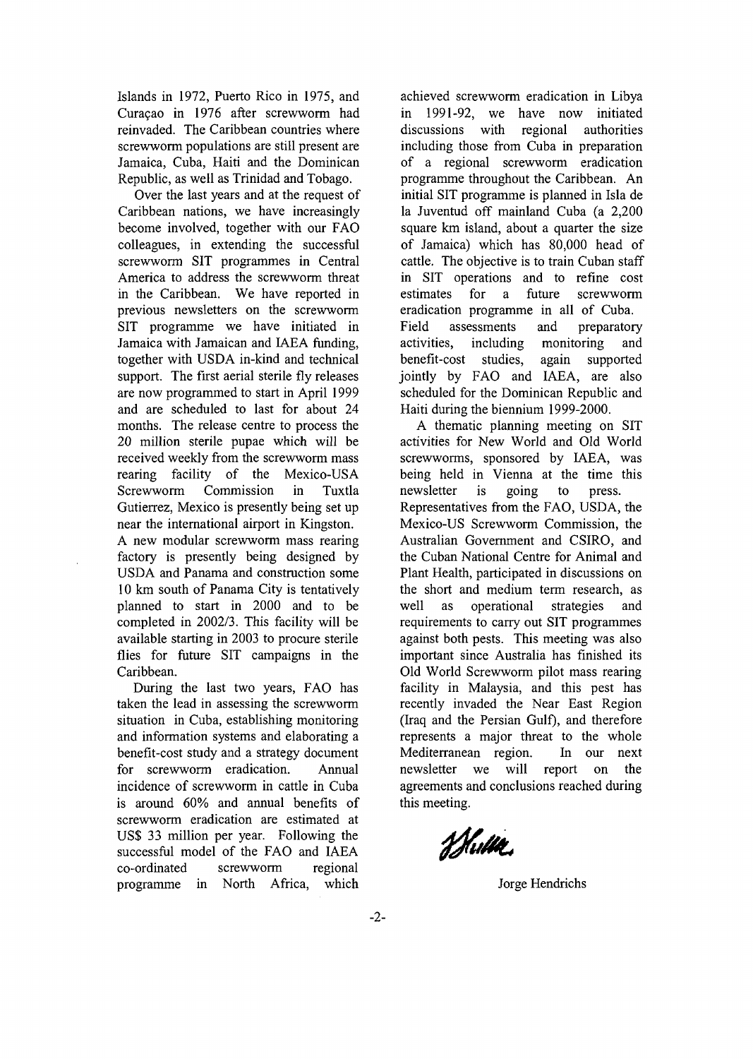Islands in 1972, Puerto Rico in 1975, and Curacao in 1976 after screwworm had reinvaded. The Caribbean countries where screwworm populations are still present are Jamaica, Cuba, Haiti and the Dominican Republic, as well as Trinidad and Tobago.

Over the last years and at the request of Caribbean nations, we have increasingly become involved, together with our FAO colleagues, in extending the successful screwworm SIT programmes in Central America to address the screwworm threat in the Caribbean. We have reported in previous newsletters on the screwworm SIT programme we have initiated in Jamaica with Jamaican and IAEA funding, together with USDA in-kind and technical support. The first aerial sterile fly releases are now programmed to start in April 1999 and are scheduled to last for about 24 months. The release centre to process the 20 million sterile pupae which will be received weekly from the screwworm mass rearing facility of the Mexico-USA Screwworm Commission in Tuxtla Gutierrez, Mexico is presently being set up near the international airport in Kingston. A new modular screwworm mass rearing factory is presently being designed by USDA and Panama and construction some 10 km south of Panama City is tentatively planned to start in 2000 and to be completed in 2002/3. This facility will be available starting in 2003 to procure sterile flies for future SIT campaigns in the Caribbean.

During the last two years, FAO has taken the lead in assessing the screwworm situation in Cuba, establishing monitoring and information systems and elaborating a benefit-cost study and a strategy document for screwworm eradication. Annual incidence of screwworm in cattle in Cuba is around 60% and annual benefits of screwworm eradication are estimated at US\$ 33 million per year. Following the successful model of the FAO and IAEA co-ordinated screwworm regional programme in North Africa, which

achieved screwworm eradication in Libya in 1991-92, we have now initiated discussions with regional authorities including those from Cuba in preparation of a regional screwworm eradication programme throughout the Caribbean. An initial SIT programme is planned in Isla de la Juventud off mainland Cuba (a 2,200 square km island, about a quarter the size of Jamaica) which has 80,000 head of cattle. The objective is to train Cuban staff in SIT operations and to refine cost estimates for a future screwworm eradication programme in all of Cuba. Field assessments and preparatory activities, including monitoring and benefit-cost studies, again supported jointly by FAO and IAEA, are also scheduled for the Dominican Republic and Haiti during the biennium 1999-2000.

A thematic planning meeting on SIT activities for New World and Old World screwworms, sponsored by IAEA, was being held in Vienna at the time this newsletter is going to press. Representatives from the FAO, USDA, the Mexico-US Screwworm Commission, the Australian Government and CSIRO, and the Cuban National Centre for Animal and Plant Health, participated in discussions on the short and medium term research, as well as operational strategies and requirements to carry out SIT programmes against both pests. This meeting was also important since Australia has finished its Old World Screwworm pilot mass rearing facility in Malaysia, and this pest has recently invaded the Near East Region (Iraq and the Persian Gulf), and therefore represents a major threat to the whole Mediterranean region. In our next newsletter we will report on the agreements and conclusions reached during this meeting.

Whith.

Jorge Hendrichs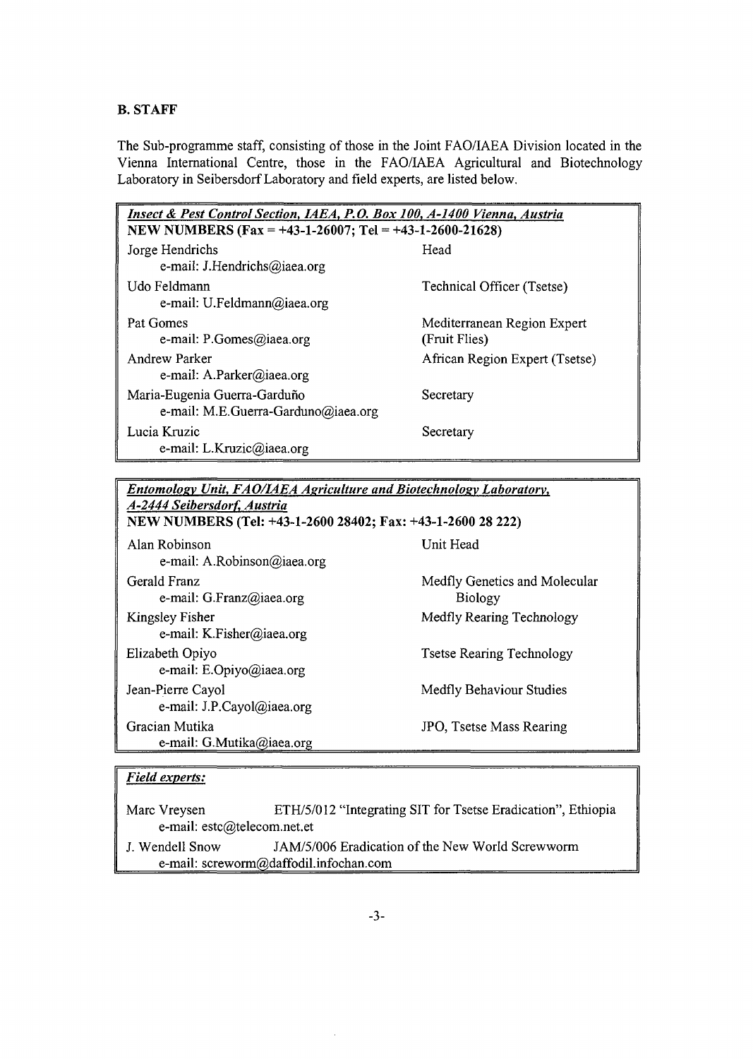### B. **STAFF**

The Sub-programme staff, consisting of those in the Joint FAO/IAEA Division located in the Vienna International Centre, those in the FAO/IAEA Agricultural and Biotechnology Laboratory in Seibersdorf Laboratory and field experts, are listed below.

| Insect & Pest Control Section, IAEA, P.O. Box 100, A-1400 Vienna, Austria |                                              |  |  |  |  |  |
|---------------------------------------------------------------------------|----------------------------------------------|--|--|--|--|--|
| NEW NUMBERS (Fax = +43-1-26007; Tel = +43-1-2600-21628)                   |                                              |  |  |  |  |  |
| Jorge Hendrichs<br>e-mail: J.Hendrichs@iaea.org                           | Head                                         |  |  |  |  |  |
| Udo Feldmann<br>e-mail: U.Feldmann@iaea.org                               | <b>Technical Officer (Tsetse)</b>            |  |  |  |  |  |
| Pat Gomes<br>e-mail: $P.Gomes(\omega)$ iaea.org                           | Mediterranean Region Expert<br>(Fruit Flies) |  |  |  |  |  |
| Andrew Parker<br>e-mail: A.Parker@iaea.org                                | African Region Expert (Tsetse)               |  |  |  |  |  |
| Maria-Eugenia Guerra-Garduño<br>e-mail: M.E.Guerra-Garduno@iaea.org       | Secretary                                    |  |  |  |  |  |
| Lucia Kruzic<br>e-mail: L.Kruzic@iaea.org                                 | Secretary                                    |  |  |  |  |  |

*Entomolosv Unit, FAO/IAEA Agriculture and Biotechnolosv Laboratory, A-2444 Seibersdorf, Austria*

| NEW NUMBERS (Tel: +43-1-2600 28402; Fax: +43-1-2600 28 222) |                                                 |  |  |  |  |
|-------------------------------------------------------------|-------------------------------------------------|--|--|--|--|
| Alan Robinson<br>e-mail: A.Robinson@iaea.org                | Unit Head                                       |  |  |  |  |
| Gerald Franz<br>e-mail: $G$ . Franz@iaea.org                | Medfly Genetics and Molecular<br><b>Biology</b> |  |  |  |  |
| <b>Kingsley Fisher</b><br>e-mail: K.Fisher@iaea.org         | Medfly Rearing Technology                       |  |  |  |  |
| Elizabeth Opiyo<br>e-mail: E.Opiyo@iaea.org                 | <b>Tsetse Rearing Technology</b>                |  |  |  |  |
| Jean-Pierre Cayol<br>e-mail: J.P.Cayol@iaea.org             | Medfly Behaviour Studies                        |  |  |  |  |
| Gracian Mutika<br>e-mail: G.Mutika@iaea.org                 | JPO, Tsetse Mass Rearing                        |  |  |  |  |

## *Field experts:*

Marc Vreysen ETH/5/012 "Integrating SIT for Tsetse Eradication", Ethiopia e-mail: estc@telecom.net.et

J. Wendell Snow JAM/5/006 Eradication of the New World Screwworm e-mail: screworm@daffodil.infochan.com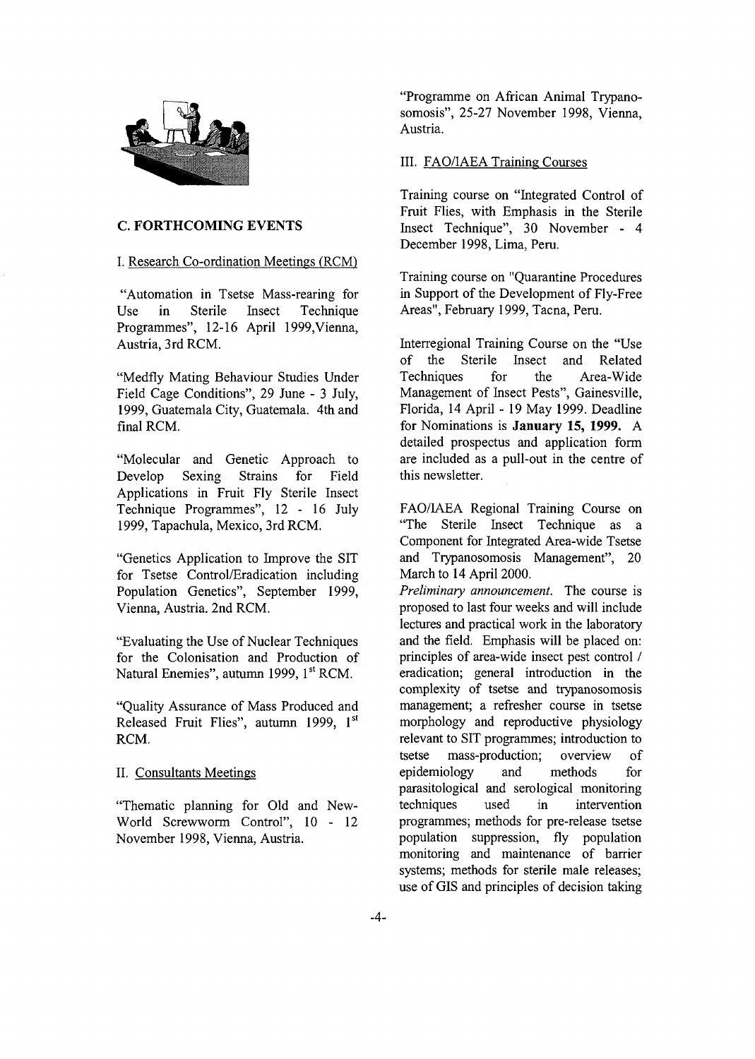

#### **C. FORTHCOMING EVENTS**

#### I. Research Co-ordination Meetings (RCM)

"Automation in Tsetse Mass-rearing for Use in Sterile Insect Technique Programmes", 12-16 April 1999,Vienna, Austria, 3rd RCM.

"Medfly Mating Behaviour Studies Under Field Cage Conditions", 29 June - 3 July, 1999, Guatemala City, Guatemala. 4th and final RCM.

"Molecular and Genetic Approach to Develop Sexing Strains for Field Applications in Fruit Fly Sterile Insect Technique Programmes", 12 - 16 July 1999, Tapachula, Mexico, 3rd RCM.

"Genetics Application to Improve the SIT for Tsetse Control/Eradication including Population Genetics", September 1999, Vienna, Austria. 2nd RCM.

"Evaluating the Use of Nuclear Techniques for the Colonisation and Production of Natural Enemies", autumn 1999, 1st RCM.

"Quality Assurance of Mass Produced and Released Fruit Flies", autumn 1999, 1st RCM.

#### II. Consultants Meetings

"Thematic planning for Old and New-World Screwworm Control", 10 - 12 November 1998, Vienna, Austria.

"Programme on African Animal Trypanosomosis", 25-27 November 1998, Vienna, Austria.

#### III. FAQ/IAEA Training Courses

Training course on "Integrated Control of Fruit Flies, with Emphasis in the Sterile Insect Technique", 30 November - 4 December 1998, Lima, Peru.

Training course on "Quarantine Procedures in Support of the Development of Fly-Free Areas", February 1999, Tacna, Peru.

Interregional Training Course on the "Use of the Sterile Insect and Related Techniques for the Area-Wide Management of Insect Pests", Gainesville, Florida, 14 April - 19 May 1999. Deadline for Nominations is **January 15, 1999.** A detailed prospectus and application form are included as a pull-out in the centre of this newsletter.

FAO/IAEA Regional Training Course on "The Sterile Insect Technique as a Component for Integrated Area-wide Tsetse and Trypanosomosis Management", 20 March to 14 April 2000.

*Preliminary announcement.* The course is proposed to last four weeks and will include lectures and practical work in the laboratory and the field. Emphasis will be placed on: principles of area-wide insect pest control / eradication; general introduction in the complexity of tsetse and trypanosomosis management; a refresher course in tsetse morphology and reproductive physiology relevant to SIT programmes; introduction to tsetse mass-production; overview of epidemiology and methods for parasitological and serological monitoring techniques used in intervention programmes; methods for pre-release tsetse population suppression, fly population monitoring and maintenance of barrier systems; methods for sterile male releases; use of GIS and principles of decision taking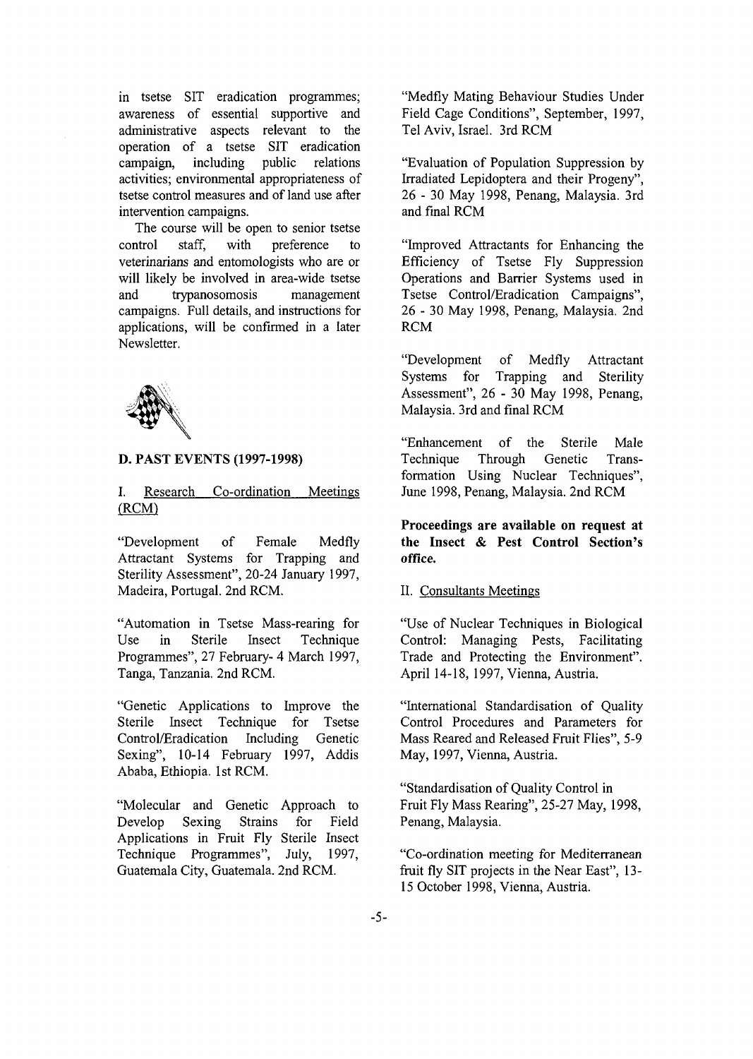in tsetse SIT eradication programmes; awareness of essential supportive and administrative aspects relevant to the operation of a tsetse SIT eradication campaign, including public relations activities; environmental appropriateness of tsetse control measures and of land use after intervention campaigns.

The course will be open to senior tsetse control staff, with preference to veterinarians and entomologists who are or will likely be involved in area-wide tsetse and trypanosomosis management campaigns. Full details, and instructions for applications, will be confirmed in a later Newsletter.



#### **D. PAST EVENTS (1997-1998)**

I. Research Co-ordination Meetings (RCM)

"Development of Female Medfly Attractant Systems for Trapping and Sterility Assessment", 20-24 January 1997, Madeira, Portugal. 2nd RCM.

"Automation in Tsetse Mass-rearing for Use in Sterile Insect Technique Programmes", 27 February- 4 March 1997, Tanga, Tanzania. 2nd RCM.

"Genetic Applications to Improve the Sterile Insect Technique for Tsetse Control/Eradication Including Genetic Sexing", 10-14 February 1997, Addis Ababa, Ethiopia. 1st RCM.

"Molecular and Genetic Approach to Develop Sexing Strains for Field Applications in Fruit Fly Sterile Insect Technique Programmes", July, 1997, Guatemala City, Guatemala. 2nd RCM.

"Medfly Mating Behaviour Studies Under Field Cage Conditions", September, 1997, Tel Aviv, Israel. 3rd RCM

"Evaluation of Population Suppression by Irradiated Lepidoptera and their Progeny", 26 - 30 May 1998, Penang, Malaysia. 3rd and final RCM

"Improved Attractants for Enhancing the Efficiency of Tsetse Fly Suppression Operations and Barrier Systems used in Tsetse Control/Eradication Campaigns", 26 - 30 May 1998, Penang, Malaysia. 2nd RCM

"Development of Medfly Attractant<br>Systems for Trapping and Sterility Trapping and Sterility Assessment", 26 - 30 May 1998, Penang, Malaysia. 3rd and final RCM

"Enhancement of the Sterile Male Technique Through Genetic Transformation Using Nuclear Techniques", June 1998, Penang, Malaysia. 2nd RCM

**Proceedings are available on request at the Insect & Pest Control Section's office.**

#### II. Consultants Meetings

"Use of Nuclear Techniques in Biological Control: Managing Pests, Facilitating Trade and Protecting the Environment". April 14-18, 1997, Vienna, Austria.

"International Standardisation of Quality Control Procedures and Parameters for Mass Reared and Released Fruit Flies", 5-9 May, 1997, Vienna, Austria.

"Standardisation of Quality Control in Fruit Fly Mass Rearing", 25-27 May, 1998, Penang, Malaysia.

"Co-ordination meeting for Mediterranean fruit fly SIT projects in the Near East", 13- 15 October 1998, Vienna, Austria.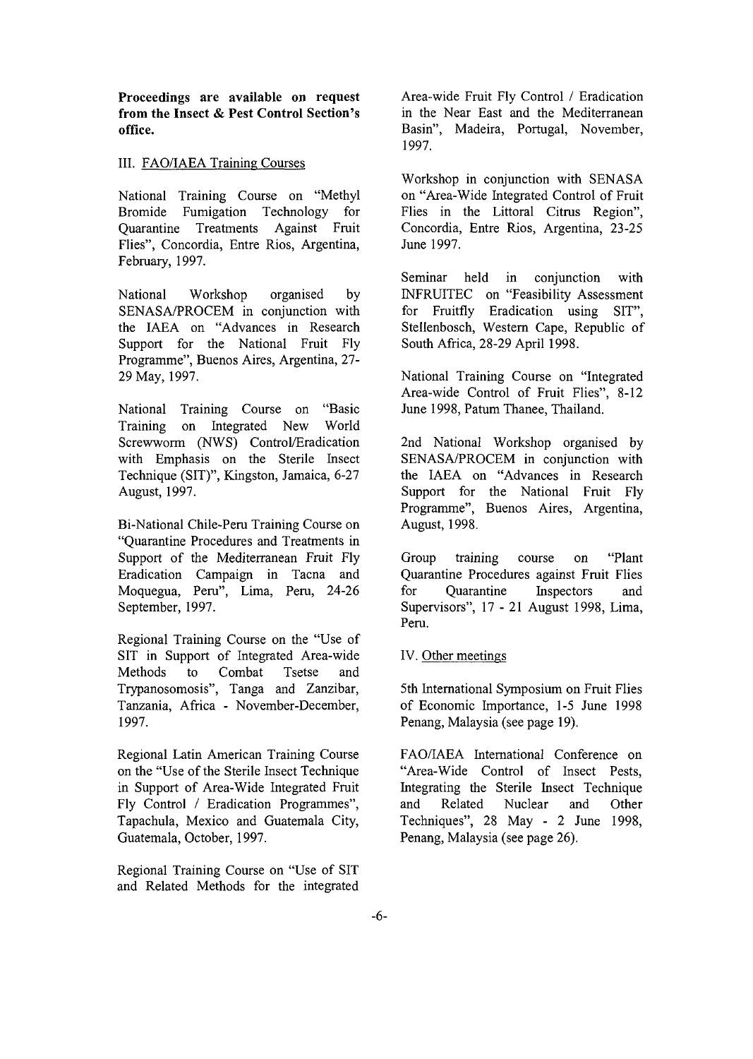**Proceedings are available on request from the Insect & Pest Control Section's office.**

#### III. FAQ/IAEA Training Courses

National Training Course on "Methyl Bromide Fumigation Technology for Quarantine Treatments Against Fruit Flies", Concordia, Entre Rios, Argentina, February, 1997.

National Workshop organised by SENASA/PROCEM in conjunction with the IAEA on "Advances in Research Support for the National Fruit Fly Programme", Buenos Aires, Argentina, 27- 29 May, 1997.

National Training Course on "Basic Training on Integrated New World Screwworm (NWS) Control/Eradication with Emphasis on the Sterile Insect Technique (SIT)", Kingston, Jamaica, 6-27 August, 1997.

Bi-National Chile-Peru Training Course on "Quarantine Procedures and Treatments in Support of the Mediterranean Fruit Fly Eradication Campaign in Tacna and Moquegua, Peru", Lima, Peru, 24-26 September, 1997.

Regional Training Course on the "Use of SIT in Support of Integrated Area-wide Methods to Combat Tsetse and Trypanosomosis", Tanga and Zanzibar, Tanzania, Africa - November-December, 1997.

Regional Latin American Training Course on the "Use of the Sterile Insect Technique in Support of Area-Wide Integrated Fruit Fly Control / Eradication Programmes", Tapachula, Mexico and Guatemala City, Guatemala, October, 1997.

Regional Training Course on "Use of SIT and Related Methods for the integrated

Area-wide Fruit Fly Control / Eradication in the Near East and the Mediterranean Basin", Madeira, Portugal, November, 1997.

Workshop in conjunction with SENASA on "Area-Wide Integrated Control of Fruit Flies in the Littoral Citrus Region", Concordia, Entre Rios, Argentina, 23-25 June 1997.

Seminar held in conjunction with INFRUITEC on "Feasibility Assessment for Fruitfly Eradication using SIT", Stellenbosch, Western Cape, Republic of South Africa, 28-29 April 1998.

National Training Course on "Integrated Area-wide Control of Fruit Flies", 8-12 June 1998, Patum Thanee, Thailand.

2nd National Workshop organised by SENASA/PROCEM in conjunction with the IAEA on "Advances in Research Support for the National Fruit Fly Programme", Buenos Aires, Argentina, August, 1998.

Group training course on "Plant Quarantine Procedures against Fruit Flies for Quarantine Inspectors and Supervisors", 17-21 August 1998, Lima, Peru.

#### IV. Other meetings

5th International Symposium on Fruit Flies of Economic Importance, 1-5 June 1998 Penang, Malaysia (see page 19).

FAO/IAEA International Conference on "Area-Wide Control of Insect Pests, Integrating the Sterile Insect Technique and Related Nuclear and Other Techniques", 28 May - 2 June 1998, Penang, Malaysia (see page 26).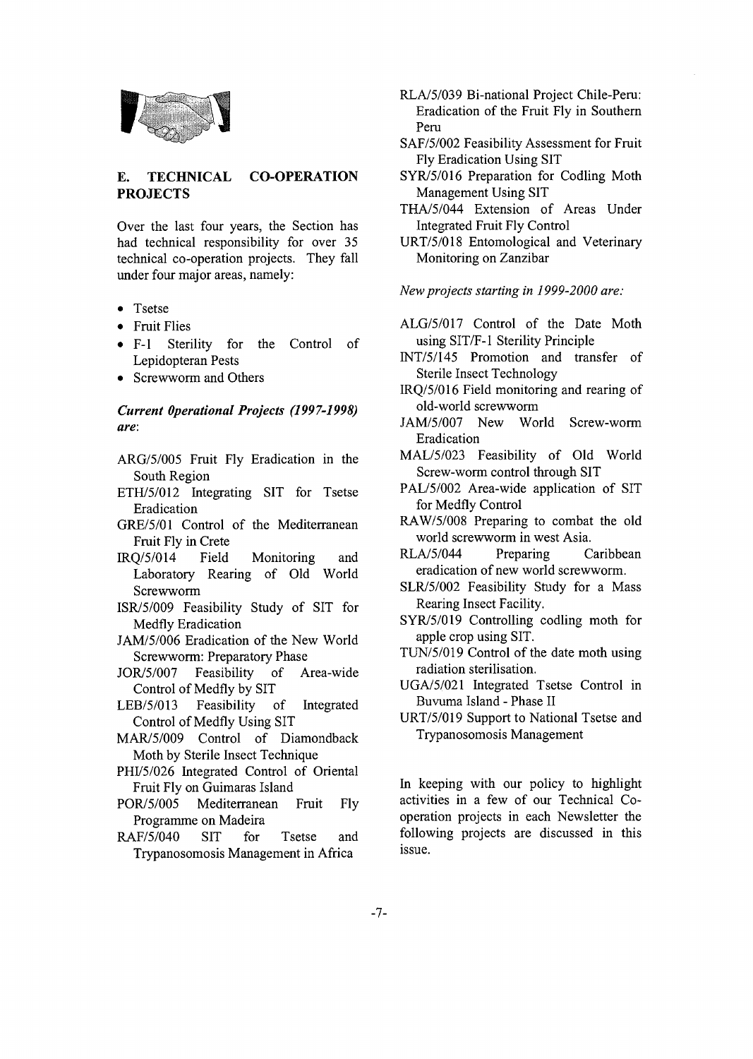

#### **E. TECHNICAL PROJECTS CO-OPERATION**

Over the last four years, the Section has had technical responsibility for over 35 technical co-operation projects. They fall under four major areas, namely:

- Tsetse
- Fruit Flies
- F-l Sterility for the Control of Lepidopteran Pests
- Screwworm and Others

### *Current Operational Projects (1997-1998) are:*

- ARG/5/005 Fruit Fly Eradication in the South Region
- ETH/5/012 Integrating SIT for Tsetse Eradication
- GRE/5/01 Control of the Mediterranean Fruit Fly in Crete
- IRQ/5/014 Field Monitoring and Laboratory Rearing of Old World Screwworm
- ISR/5/009 Feasibility Study of SIT for Medfly Eradication
- JAM/5/006 Eradication of the New World Screwworm: Preparatory Phase
- JOR/5/007 Feasibility of Area-wide Control of Medfly by SIT
- LEB/5/013 Feasibility of Integrated Control of Medfly Using SIT
- MAR/5/009 Control of Diamondback Moth by Sterile Insect Technique
- PHI/5/026 Integrated Control of Oriental Fruit Fly on Guimaras Island
- POR/5/005 Mediterranean Fruit Fly Programme on Madeira
- RAF/5/040 SIT for Tsetse and Trypanosomosis Management in Africa
- RLA/5/039 Bi-national Project Chile-Peru: Eradication of the Fruit Fly in Southern Peru
- SAF/5/002 Feasibility Assessment for Fruit Fly Eradication Using SIT
- SYR/5/016 Preparation for Codling Moth Management Using SIT
- THA/5/044 Extension of Areas Under Integrated Fruit Fly Control
- URT/5/018 Entomological and Veterinary Monitoring on Zanzibar

*New projects starting in 1999-2000 are:*

- ALG/5/017 Control of the Date Moth using SIT/F-1 Sterility Principle
- INT/5/145 Promotion and transfer of Sterile Insect Technology
- IRQ/5/016 Field monitoring and rearing of old-world screwworm
- JAM/5/007 New World Screw-worm Eradication
- MAL/5/023 Feasibility of Old World Screw-worm control through SIT
- PAL/5/002 Area-wide application of SIT for Medfly Control
- RAW/5/008 Preparing to combat the old world screwworm in west Asia.
- RLA/5/044 Preparing Caribbean eradication of new world screwworm.
- SLR/5/002 Feasibility Study for a Mass Rearing Insect Facility.
- SYR/5/019 Controlling codling moth for apple crop using SIT.
- TUN/5/019 Control of the date moth using radiation sterilisation.
- UGA/5/021 Integrated Tsetse Control in Buvuma Island - Phase II
- URT/5/019 Support to National Tsetse and Trypanosomosis Management

In keeping with our policy to highlight activities in a few of our Technical Cooperation projects in each Newsletter the following projects are discussed in this issue.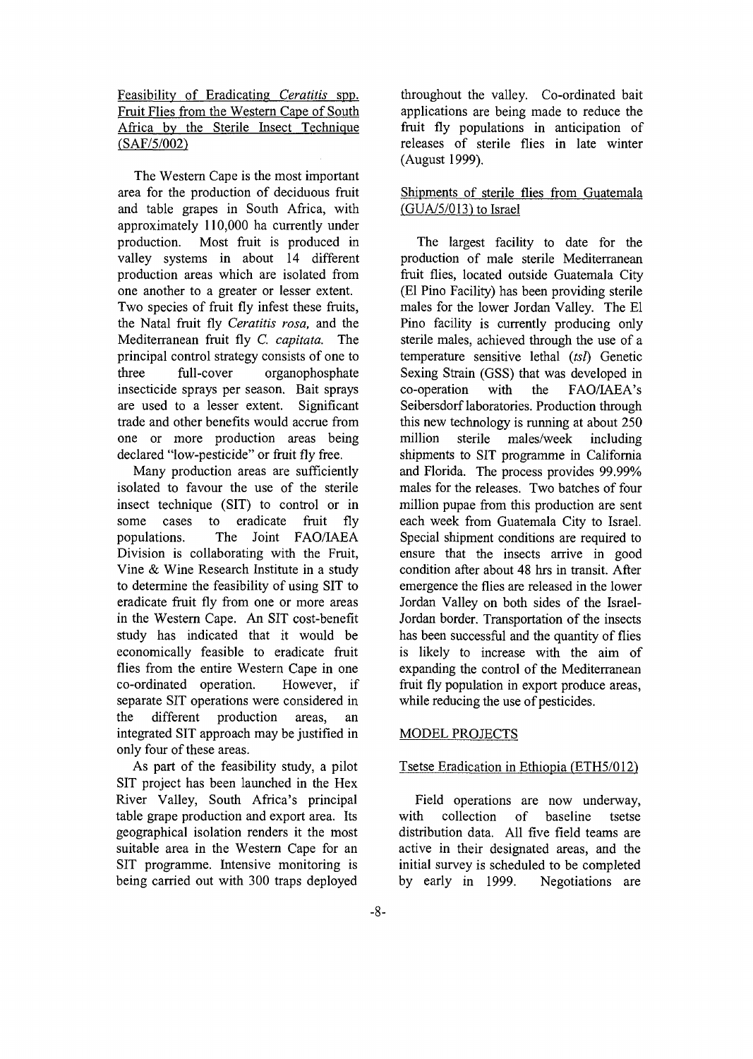Feasibility of Eradicating *Ceratitis* spp. Fruit Flies from the Western Cape of South Africa by the Sterile Insect Technique (SAF/5/002)

The Western Cape is the most important area for the production of deciduous fruit and table grapes in South Africa, with approximately 110,000 ha currently under production. Most fruit is produced in valley systems in about 14 different production areas which are isolated from one another to a greater or lesser extent. Two species of fruit fly infest these fruits, the Natal fruit fly *Ceratitis rosa,* and the Mediterranean fruit fly *C. capitata.* The principal control strategy consists of one to three full-cover organophosphate insecticide sprays per season. Bait sprays are used to a lesser extent. Significant trade and other benefits would accrue from one or more production areas being declared "low-pesticide" or fruit fly free.

Many production areas are sufficiently isolated to favour the use of the sterile insect technique (SIT) to control or in some cases to eradicate fruit fly populations. The Joint FAO/IAEA Division is collaborating with the Fruit, Vine & Wine Research Institute in a study to determine the feasibility of using SIT to eradicate fruit fly from one or more areas in the Western Cape. An SIT cost-benefit study has indicated that it would be economically feasible to eradicate fruit flies from the entire Western Cape in one co-ordinated operation. However, if separate SIT operations were considered in the different production areas, an integrated SIT approach may be justified in only four of these areas.

As part of the feasibility study, a pilot SIT project has been launched in the Hex River Valley, South Africa's principal table grape production and export area. Its geographical isolation renders it the most suitable area in the Western Cape for an SIT programme. Intensive monitoring is being carried out with 300 traps deployed throughout the valley. Co-ordinated bait applications are being made to reduce the fruit fly populations in anticipation of releases of sterile flies in late winter (August 1999).

### Shipments of sterile flies from Guatemala  $(GUA/5/013)$  to Israel

The largest facility to date for the production of male sterile Mediterranean fruit flies, located outside Guatemala City (El Pino Facility) has been providing sterile males for the lower Jordan Valley. The El Pino facility is currently producing only sterile males, achieved through the use of a temperature sensitive lethal *(tsF)* Genetic Sexing Strain (GSS) that was developed in co-operation with the FAO/IAEA's Seibersdorf laboratories. Production through this new technology is running at about 250 million sterile males/week including shipments to SIT programme in California and Florida. The process provides 99.99% males for the releases. Two batches of four million pupae from this production are sent each week from Guatemala City to Israel. Special shipment conditions are required to ensure that the insects arrive in good condition after about 48 hrs in transit. After emergence the flies are released in the lower Jordan Valley on both sides of the Israel-Jordan border. Transportation of the insects has been successful and the quantity of flies is likely to increase with the aim of expanding the control of the Mediterranean fruit fly population in export produce areas, while reducing the use of pesticides.

### MODEL PROJECTS

### Tsetse Eradication in Ethiopia (ETH5/012)

Field operations are now underway, with collection of baseline tsetse distribution data. All five field teams are active in their designated areas, and the initial survey is scheduled to be completed by early in 1999. Negotiations are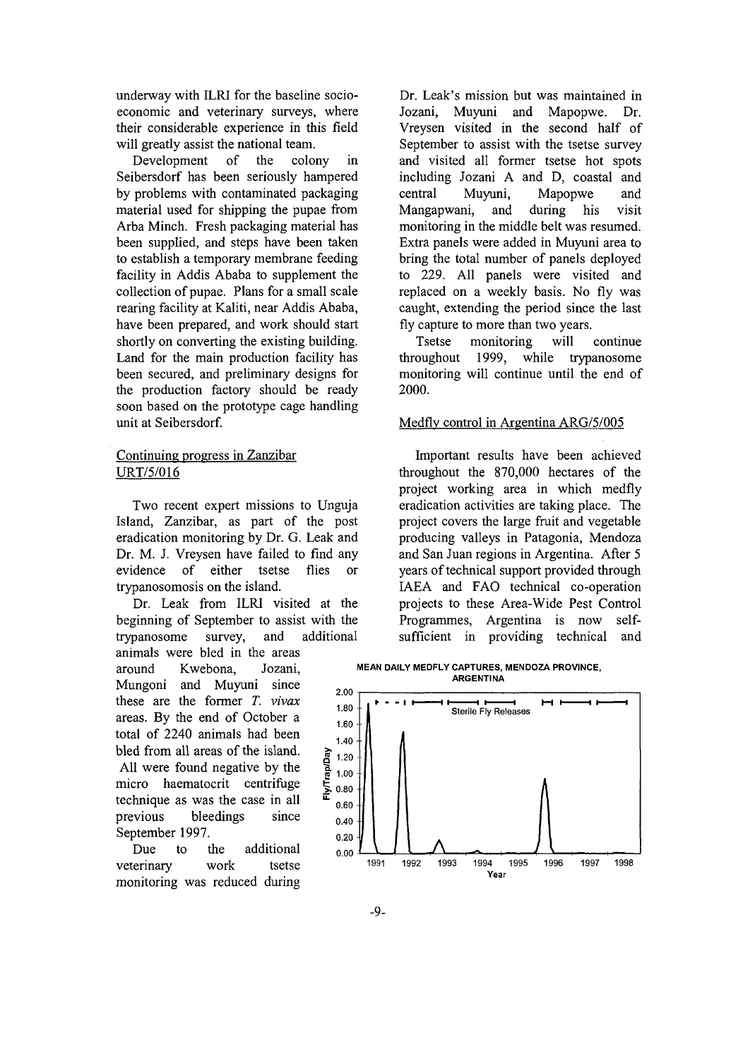underway with ILRI for the baseline socioeconomic and veterinary surveys, where their considerable experience in this field will greatly assist the national team.

Development of the colony in Seibersdorf has been seriously hampered by problems with contaminated packaging material used for shipping the pupae from Arba Minch. Fresh packaging material has been supplied, and steps have been taken to establish a temporary membrane feeding facility in Addis Ababa to supplement the collection of pupae. Plans for a small scale rearing facility at Kaliti, near Addis Ababa, have been prepared, and work should start shortly on converting the existing building. Land for the main production facility has been secured, and preliminary designs for the production factory should be ready soon based on the prototype cage handling unit at Seibersdorf.

#### Continuing progress in Zanzibar URT/5/016

Two recent expert missions to Unguja Island, Zanzibar, as part of the post eradication monitoring by Dr. G. Leak and Dr. M. J. Vreysen have failed to find any evidence of either tsetse flies or trypanosomosis on the island.

Dr. Leak from ILRI visited at the beginning of September to assist with the trypanosome survey, and additional animals were bled in the areas

around Kwebona, Jozani, Mungoni and Muyuni since these are the former *T. vivax* areas. By the end of October a total of 2240 animals had been bled from all areas of the island. All were found negative by the micro haematocrit centrifuge technique as was the case in all previous bleedings since September 1997.

Due to the additional veterinary work tsetse monitoring was reduced during

Dr. Leak's mission but was maintained in Jozani, Muyuni and Mapopwe. Dr. Vreysen visited in the second half of September to assist with the tsetse survey and visited all former tsetse hot spots including Jozani A and D, coastal and central Muyuni, Mapopwe and Mangapwani, and during his visit monitoring in the middle belt was resumed. Extra panels were added in Muyuni area to bring the total number of panels deployed to 229. All panels were visited and replaced on a weekly basis. No fly was caught, extending the period since the last fly capture to more than two years.

Tsetse monitoring will continue throughout 1999, while trypanosome monitoring will continue until the end of 2000.

#### Medflv control in Argentina ARG/5/005

Important results have been achieved throughout the 870,000 hectares of the project working area in which medfly eradication activities are taking place. The project covers the large fruit and vegetable producing valleys in Patagonia, Mendoza and San Juan regions in Argentina. After 5 years of technical support provided through IAEA and FAO technical co-operation projects to these Area-Wide Pest Control Programmes, Argentina is now selfsufficient in providing technical and

**MEAN DAILY MEDFLY CAPTURES, MENDOZA PROVINCE, ARGENTINA**

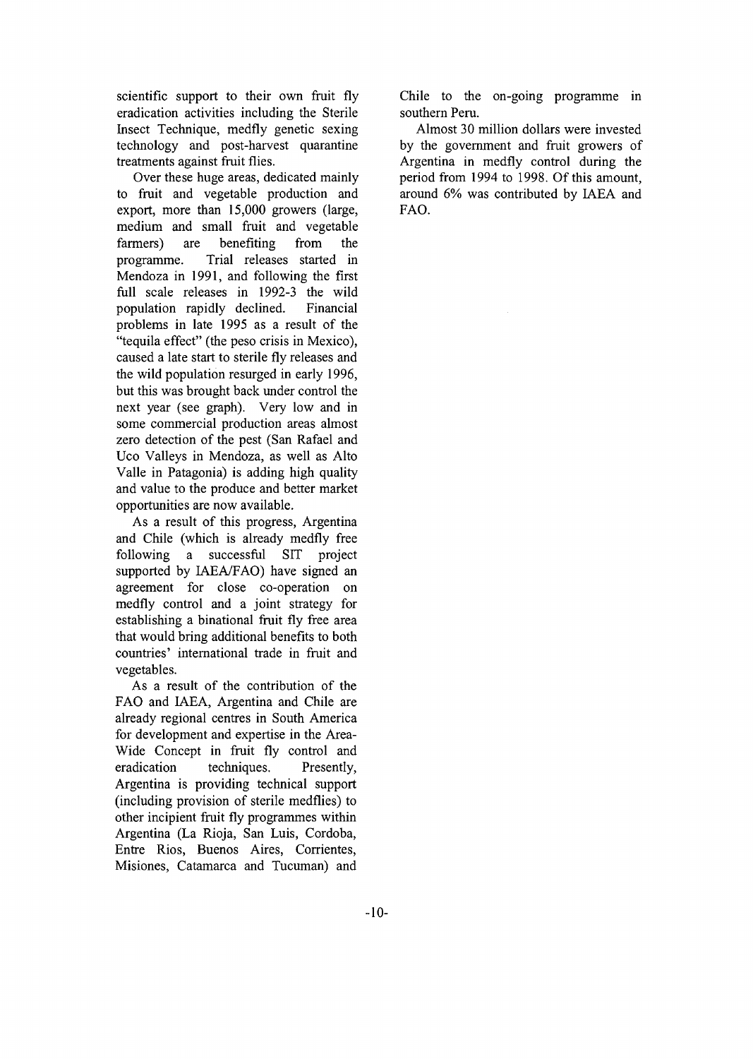scientific support to their own fruit fly eradication activities including the Sterile Insect Technique, medfly genetic sexing technology and post-harvest quarantine treatments against fruit flies.

Over these huge areas, dedicated mainly to fruit and vegetable production and export, more than 15,000 growers (large, medium and small fruit and vegetable farmers) are benefiting from the programme. Trial releases started in Mendoza in 1991, and following the first full scale releases in 1992-3 the wild population rapidly declined. Financial problems in late 1995 as a result of the "tequila effect" (the peso crisis in Mexico), caused a late start to sterile fly releases and the wild population resurged in early 1996, but this was brought back under control the next year (see graph). Very low and in some commercial production areas almost zero detection of the pest (San Rafael and Uco Valleys in Mendoza, as well as Alto Valle in Patagonia) is adding high quality and value to the produce and better market opportunities are now available.

As a result of this progress, Argentina and Chile (which is already medfly free following a successful SIT project supported by IAEA/FAO) have signed an agreement for close co-operation on medfly control and a joint strategy for establishing a binational fruit fly free area that would bring additional benefits to both countries' international trade in fruit and vegetables.

As a result of the contribution of the FAO and IAEA, Argentina and Chile are already regional centres in South America for development and expertise in the Area-Wide Concept in fruit fly control and eradication techniques. Presently, Argentina is providing technical support (including provision of sterile medflies) to other incipient fruit fly programmes within Argentina (La Rioja, San Luis, Cordoba, Entre Rios, Buenos Aires, Corrientes, Misiones, Catamarca and Tucuman) and

Chile to the on-going programme in southern Peru.

Almost 30 million dollars were invested by the government and fruit growers of Argentina in medfly control during the period from 1994 to 1998. Of this amount, around 6% was contributed by IAEA and FAO.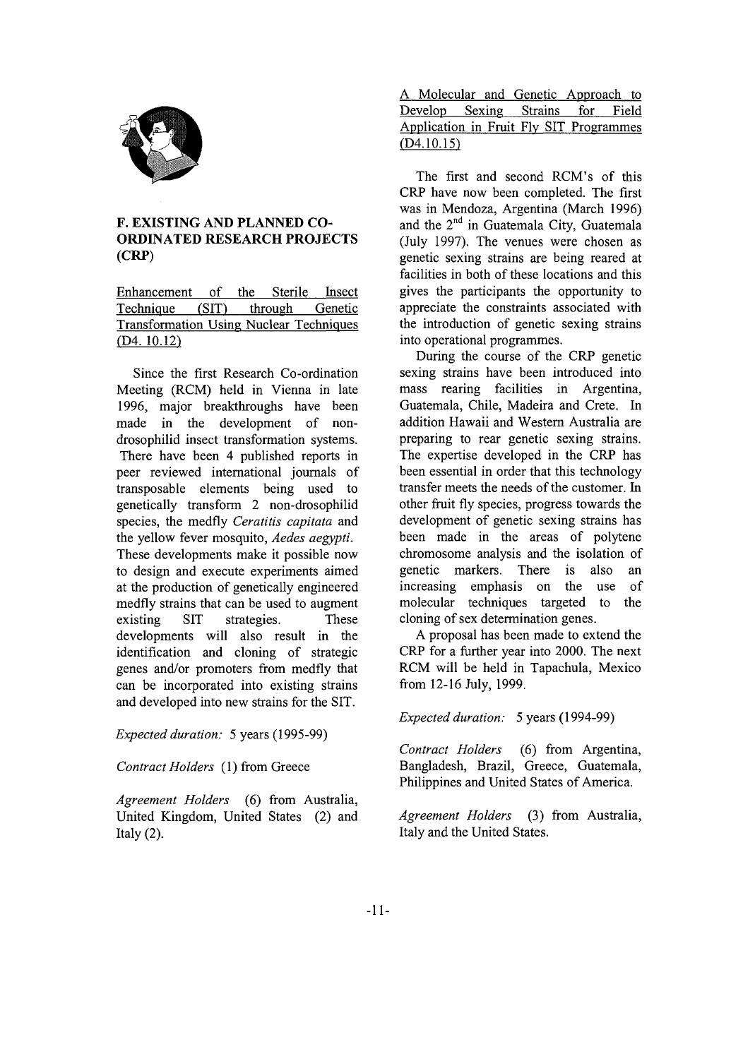

### **F. EXISTING AND PLANNED CO-ORDINATED RESEARCH PROJECTS (CRP)**

Enhancement of the Sterile Insect Technique (SIT) through Genetic Transformation Using Nuclear Techniques (D4. 10.12)

Since the first Research Co-ordination Meeting (RCM) held in Vienna in late 1996, major breakthroughs have been made in the development of nondrosophilid insect transformation systems. There have been 4 published reports in peer reviewed international journals of transposable elements being used to genetically transform 2 non-drosophilid species, the medfly *Ceratitis capitata* and the yellow fever mosquito, *Aedes aegypti.* These developments make it possible now to design and execute experiments aimed at the production of genetically engineered medfly strains that can be used to augment existing SIT strategies. These developments will also result in the identification and cloning of strategic genes and/or promoters from medfly that can be incorporated into existing strains and developed into new strains for the SIT.

*Expected duration:* 5 years (1995-99)

*Contract Holders* (1) from Greece

*Agreement Holders* (6) from Australia, United Kingdom, United States (2) and Italy  $(2)$ .

A Molecular and Genetic Approach to Develop Sexing Strains for Field Application in Fruit Fly SIT Programmes (D4.10.15)

The first and second RCM's of this CRP have now been completed. The first was in Mendoza, Argentina (March 1996) and the 2<sup>nd</sup> in Guatemala City, Guatemala (July 1997). The venues were chosen as genetic sexing strains are being reared at facilities in both of these locations and this gives the participants the opportunity to appreciate the constraints associated with the introduction of genetic sexing strains into operational programmes.

During the course of the CRP genetic sexing strains have been introduced into mass rearing facilities in Argentina, Guatemala, Chile, Madeira and Crete. In addition Hawaii and Western Australia are preparing to rear genetic sexing strains. The expertise developed in the CRP has been essential in order that this technology transfer meets the needs of the customer. In other fruit fly species, progress towards the development of genetic sexing strains has been made in the areas of polytene chromosome analysis and the isolation of genetic markers. There is also an increasing emphasis on the use of molecular techniques targeted to the cloning of sex determination genes.

A proposal has been made to extend the CRP for a further year into 2000. The next RCM will be held in Tapachula, Mexico from 12-16 July, 1999.

*Expected duration:* 5 years (1994-99)

*Contract Holders* (6) from Argentina, Bangladesh, Brazil, Greece, Guatemala, Philippines and United States of America.

*Agreement Holders* (3) from Australia, Italy and the United States.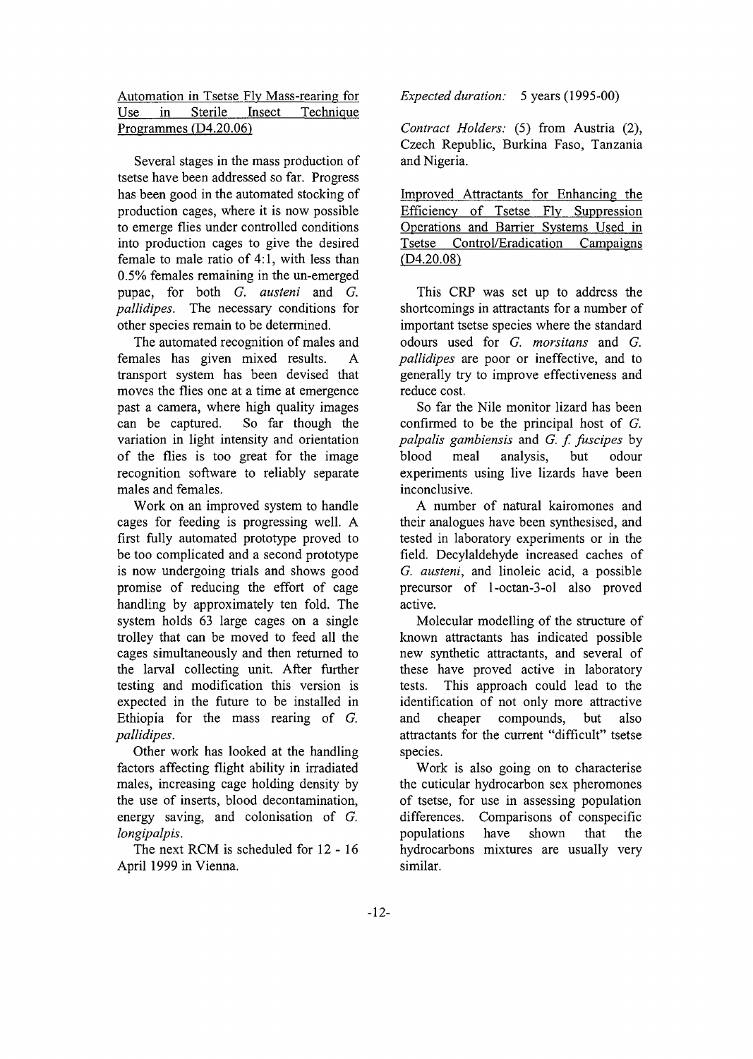|                         |  |  |  | Automation in Tsetse Fly Mass-rearing for |  |  |  |
|-------------------------|--|--|--|-------------------------------------------|--|--|--|
|                         |  |  |  | Use in Sterile Insect Technique           |  |  |  |
| Programmes $(D4.20.06)$ |  |  |  |                                           |  |  |  |

Several stages in the mass production of tsetse have been addressed so far. Progress has been good in the automated stocking of production cages, where it is now possible to emerge flies under controlled conditions into production cages to give the desired female to male ratio of 4:1, with less than 0.5% females remaining in the un-emerged pupae, for both *G. austeni* and *G. pallidipes.* The necessary conditions for other species remain to be determined.

The automated recognition of males and females has given mixed results. A transport system has been devised that moves the flies one at a time at emergence past a camera, where high quality images can be captured. So far though the variation in light intensity and orientation of the flies is too great for the image recognition software to reliably separate males and females.

Work on an improved system to handle cages for feeding is progressing well. A first fully automated prototype proved to be too complicated and a second prototype is now undergoing trials and shows good promise of reducing the effort of cage handling by approximately ten fold. The system holds 63 large cages on a single trolley that can be moved to feed all the cages simultaneously and then returned to the larval collecting unit. After further testing and modification this version is expected in the future to be installed in Ethiopia for the mass rearing of *G. pallidipes.*

Other work has looked at the handling factors affecting flight ability in irradiated males, increasing cage holding density by the use of inserts, blood decontamination, energy saving, and colonisation of *G. longipalpis.*

The next RCM is scheduled for 12 - 16 April 1999 in Vienna.

*Expected duration:* 5 years (1995-00)

*Contract Holders:* (5) from Austria (2), Czech Republic, Burkina Faso, Tanzania and Nigeria.

Improved Attractants for Enhancing the Efficiency of Tsetse Fly Suppression Operations and Barrier Systems Used in Tsetse Control/Eradication Campaigns  $(D4.20.08)$ 

This CRP was set up to address the shortcomings in attractants for a number of important tsetse species where the standard odours used for *G. morsitans* and *G. pallidipes* are poor or ineffective, and to generally try to improve effectiveness and reduce cost.

So far the Nile monitor lizard has been confirmed to be the principal host of *G. palpalis gambiensis* and *G. f. fuscipes* by blood meal analysis, but odour experiments using live lizards have been inconclusive.

A number of natural kairomones and their analogues have been synthesised, and tested in laboratory experiments or in the field. Decylaldehyde increased caches of *G. austeni,* and linoleic acid, a possible precursor of l-octan-3-ol also proved active.

Molecular modelling of the structure of known attractants has indicated possible new synthetic attractants, and several of these have proved active in laboratory tests. This approach could lead to the identification of not only more attractive and cheaper compounds, but also attractants for the current "difficult" tsetse species.

Work is also going on to characterise the cuticular hydrocarbon sex pheromones of tsetse, for use in assessing population differences. Comparisons of conspecific populations have shown that the hydrocarbons mixtures are usually very similar.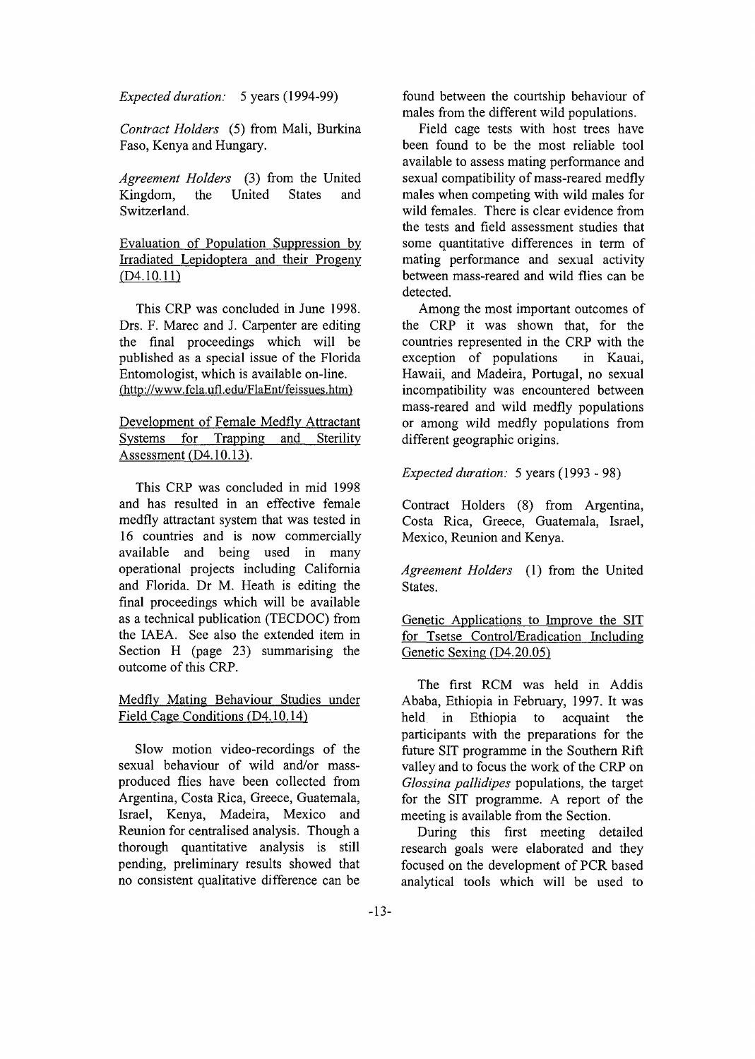*Expected duration:* 5 years (1994-99)

*Contract Holders* (5) from Mali, Burkina Faso, Kenya and Hungary.

*Agreement Holders* (3) from the United Kingdom, the United States and Switzerland.

Evaluation of Population Suppression by Irradiated Lepidoptera and their Progeny  $(D4.10.11)$ 

This CRP was concluded in June 1998. Drs. F. Marec and J. Carpenter are editing the final proceedings which will be published as a special issue of the Florida Entomologist, which is available on-line. (http://www.fcla.ufl.edu/FlaEnt/feissues.htm')

Development of Female Medfly Attractant Systems for Trapping and Sterility Assessment (D4.10.13).

This CRP was concluded in mid 1998 and has resulted in an effective female medfly attractant system that was tested in 16 countries and is now commercially available and being used in many operational projects including California and Florida. Dr M. Heath is editing the final proceedings which will be available as a technical publication (TECDOC) from the IAEA. See also the extended item in Section H (page 23) summarising the outcome of this CRP.

#### Medfly Mating Behaviour Studies under Field Cage Conditions (D4.10.14)

Slow motion video-recordings of the sexual behaviour of wild and/or massproduced flies have been collected from Argentina, Costa Rica, Greece, Guatemala, Israel, Kenya, Madeira, Mexico and Reunion for centralised analysis. Though a thorough quantitative analysis is still pending, preliminary results showed that no consistent qualitative difference can be

found between the courtship behaviour of males from the different wild populations.

Field cage tests with host trees have been found to be the most reliable tool available to assess mating performance and sexual compatibility of mass-reared medfly males when competing with wild males for wild females. There is clear evidence from the tests and field assessment studies that some quantitative differences in term of mating performance and sexual activity between mass-reared and wild flies can be detected.

Among the most important outcomes of the CRP it was shown that, for the countries represented in the CRP with the exception of populations in Kauai, Hawaii, and Madeira, Portugal, no sexual incompatibility was encountered between mass-reared and wild medfly populations or among wild medfly populations from different geographic origins.

#### *Expected duration:* 5 years (1993 - 98)

Contract Holders (8) from Argentina, Costa Rica, Greece, Guatemala, Israel, Mexico, Reunion and Kenya.

*Agreement Holders* (1) from the United States.

Genetic Applications to Improve the SIT for Tsetse Control/Eradication Including Genetic Sexing (D4.20.05)

The first RCM was held in Addis Ababa, Ethiopia in February, 1997. It was held in Ethiopia to acquaint the participants with the preparations for the future SIT programme in the Southern Rift valley and to focus the work of the CRP on *Glossina pallidipes* populations, the target for the SIT programme. A report of the meeting is available from the Section.

During this first meeting detailed research goals were elaborated and they focused on the development of PCR based analytical tools which will be used to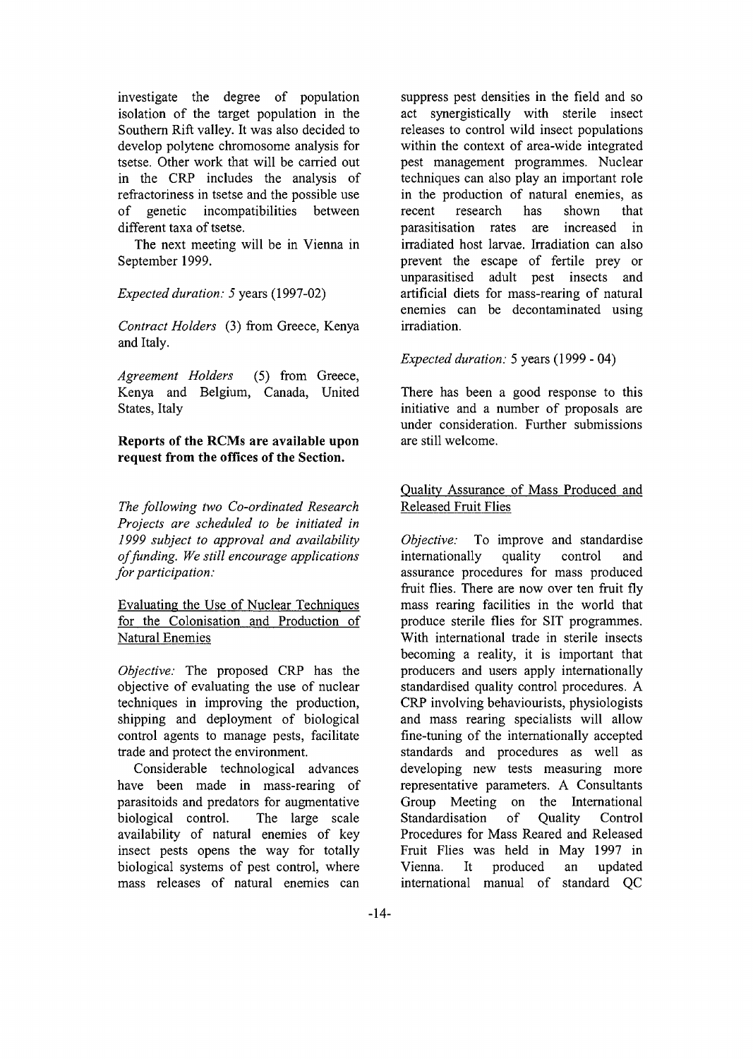investigate the degree of population isolation of the target population in the Southern Rift valley. It was also decided to develop polytene chromosome analysis for tsetse. Other work that will be carried out in the CRP includes the analysis of refractoriness in tsetse and the possible use of genetic incompatibilities between different taxa of tsetse.

The next meeting will be in Vienna in September 1999.

*Expected duration: 5* years (1997-02)

*Contract Holders* (3) from Greece, Kenya and Italy.

*Agreement Holders* (5) from Greece, Kenya and Belgium, Canada, United States, Italy

**Reports of the RCMs are available upon request from the offices of the Section.**

*The following two Co-ordinated Research Projects are scheduled to be initiated in 1999 subject to approval and availability of funding. We still encourage applications for participation:*

Evaluating the Use of Nuclear Techniques for the Colonisation and Production of Natural Enemies

*Objective:* The proposed CRP has the objective of evaluating the use of nuclear techniques in improving the production, shipping and deployment of biological control agents to manage pests, facilitate trade and protect the environment.

Considerable technological advances have been made in mass-rearing of parasitoids and predators for augmentative biological control. The large scale availability of natural enemies of key insect pests opens the way for totally biological systems of pest control, where mass releases of natural enemies can

suppress pest densities in the field and so act synergistically with sterile insect releases to control wild insect populations within the context of area-wide integrated pest management programmes. Nuclear techniques can also play an important role in the production of natural enemies, as recent research has shown that parasitisation rates are increased in irradiated host larvae. Irradiation can also prevent the escape of fertile prey or unparasitised adult pest insects and artificial diets for mass-rearing of natural enemies can be decontaminated using irradiation.

### *Expected duration:* 5 years (1999 - 04)

There has been a good response to this initiative and a number of proposals are under consideration. Further submissions are still welcome.

### Quality Assurance of Mass Produced and Released Fruit Flies

*Objective:* To improve and standardise internationally quality control and assurance procedures for mass produced fruit flies. There are now over ten fruit fly mass rearing facilities in the world that produce sterile flies for SIT programmes. With international trade in sterile insects becoming a reality, it is important that producers and users apply internationally standardised quality control procedures. A CRP involving behaviourists, physiologists and mass rearing specialists will allow fine-tuning of the internationally accepted standards and procedures as well as developing new tests measuring more representative parameters. A Consultants Group Meeting on the International Standardisation of Quality Control Procedures for Mass Reared and Released Fruit Flies was held in May 1997 in Vienna. It produced an updated international manual of standard QC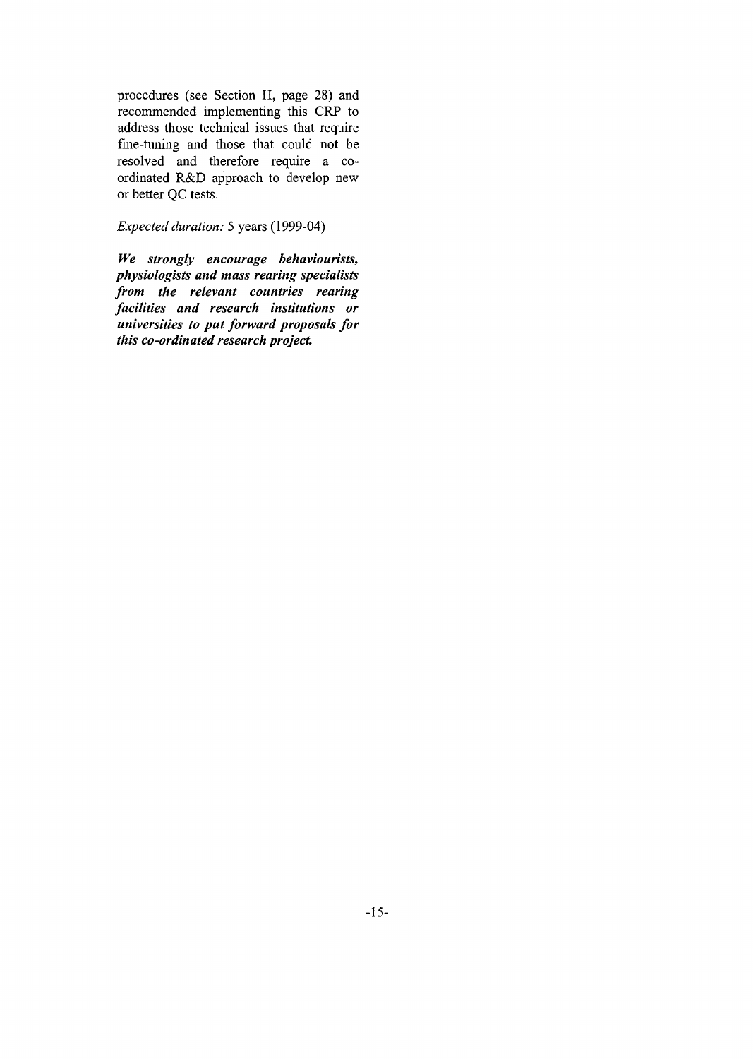procedures (see Section H, page 28) and recommended implementing this CRP to address those technical issues that require fine-tuning and those that could not be resolved and therefore require a coordinated R&D approach to develop new or better QC tests.

*Expected duration:* 5 years (1999-04)

*We strongly encourage behaviourists, physiologists and mass rearing specialists from the relevant countries rearing facilities and research institutions or universities to put forward proposals for this co-ordinated research project*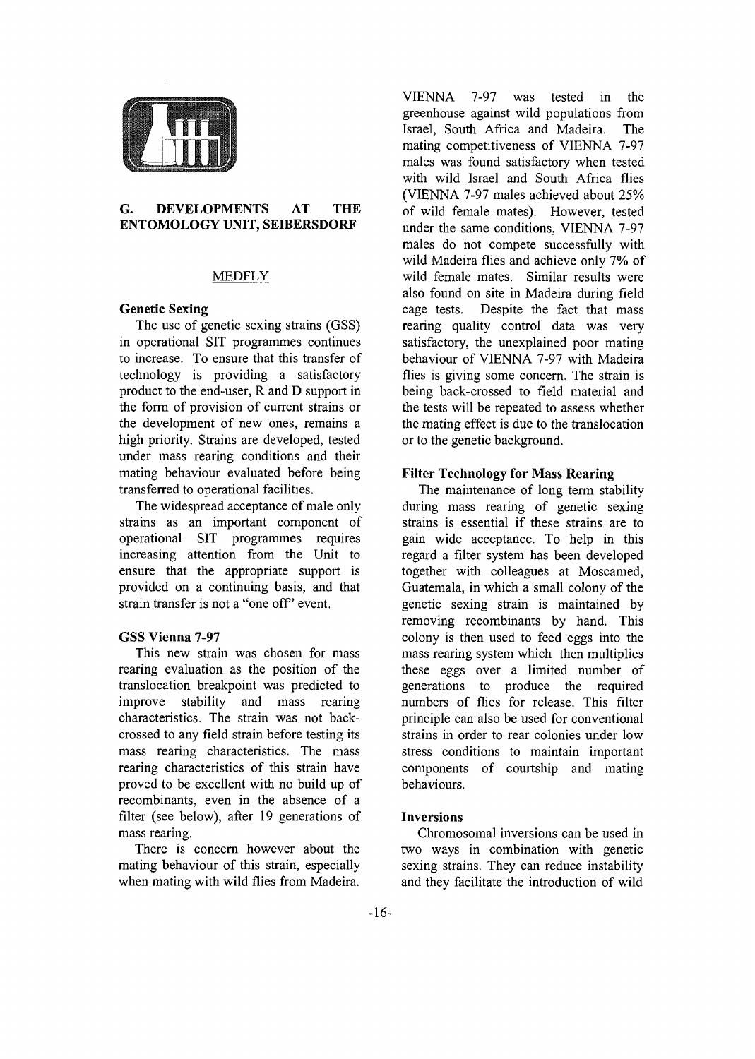

#### **G. DEVELOPMENTS AT THE ENTOMOLOGY UNIT, SEIBERSDORF**

#### MEDFLY

#### **Genetic Sexing**

The use of genetic sexing strains (GSS) in operational SIT programmes continues to increase. To ensure that this transfer of technology is providing a satisfactory product to the end-user, R and D support in the form of provision of current strains or the development of new ones, remains a high priority. Strains are developed, tested under mass rearing conditions and their mating behaviour evaluated before being transferred to operational facilities.

The widespread acceptance of male only strains as an important component of operational SIT programmes requires increasing attention from the Unit to ensure that the appropriate support is provided on a continuing basis, and that strain transfer is not a "one off' event.

#### **GSS Vienna 7-97**

This new strain was chosen for mass rearing evaluation as the position of the translocation breakpoint was predicted to improve stability and mass rearing characteristics. The strain was not backcrossed to any field strain before testing its mass rearing characteristics. The mass rearing characteristics of this strain have proved to be excellent with no build up of recombinants, even in the absence of a filter (see below), after 19 generations of mass rearing.

There is concern however about the mating behaviour of this strain, especially when mating with wild flies from Madeira.

VIENNA 7-97 was tested in the greenhouse against wild populations from Israel, South Africa and Madeira. The mating competitiveness of VIENNA 7-97 males was found satisfactory when tested with wild Israel and South Africa flies (VIENNA 7-97 males achieved about 25% of wild female mates). However, tested under the same conditions, VIENNA 7-97 males do not compete successfully with wild Madeira flies and achieve only 7% of wild female mates. Similar results were also found on site in Madeira during field cage tests. Despite the fact that mass rearing quality control data was very satisfactory, the unexplained poor mating behaviour of VIENNA 7-97 with Madeira flies is giving some concern. The strain is being back-crossed to field material and the tests will be repeated to assess whether the mating effect is due to the translocation or to the genetic background.

#### **Filter Technology for Mass Rearing**

The maintenance of long term stability during mass rearing of genetic sexing strains is essential if these strains are to gain wide acceptance. To help in this regard a filter system has been developed together with colleagues at Moscamed, Guatemala, in which a small colony of the genetic sexing strain is maintained by removing recombinants by hand. This colony is then used to feed eggs into the mass rearing system which then multiplies these eggs over a limited number of generations to produce the required numbers of flies for release. This filter principle can also be used for conventional strains in order to rear colonies under low stress conditions to maintain important components of courtship and mating behaviours.

#### **Inversions**

Chromosomal inversions can be used in two ways in combination with genetic sexing strains. They can reduce instability and they facilitate the introduction of wild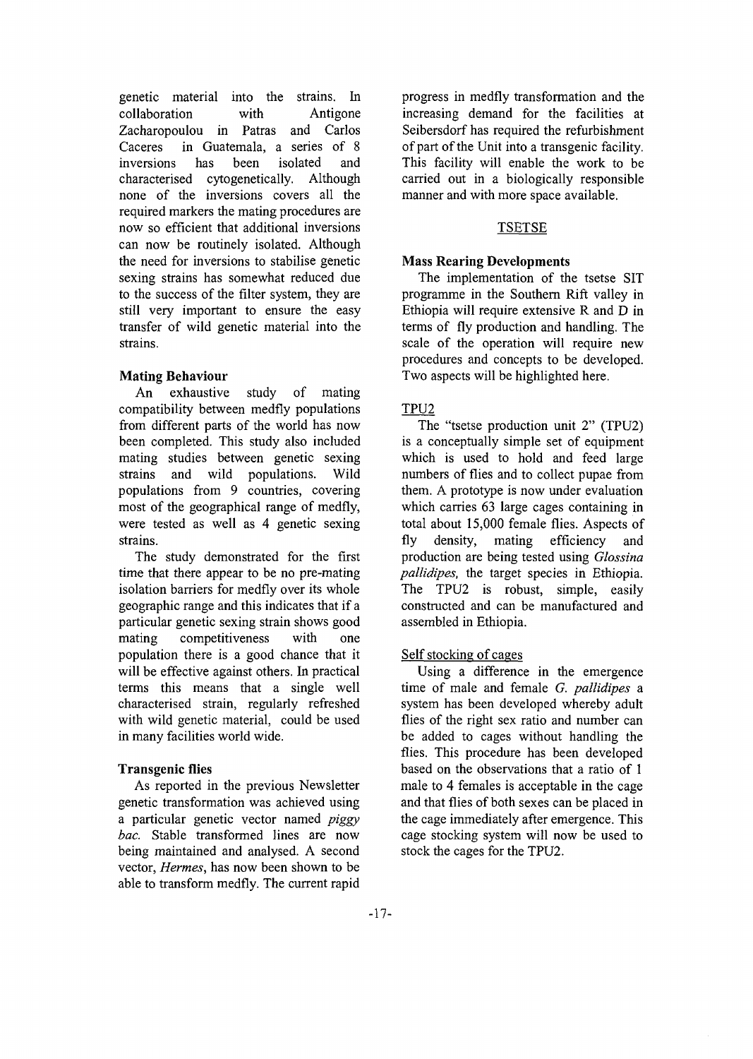genetic material into the strains. In collaboration with Antigone Zacharopoulou in Patras and Carlos Caceres in Guatemala, a series of 8 inversions has been isolated and characterised cytogenetically. Although none of the inversions covers all the required markers the mating procedures are now so efficient that additional inversions can now be routinely isolated. Although the need for inversions to stabilise genetic sexing strains has somewhat reduced due to the success of the filter system, they are still very important to ensure the easy transfer of wild genetic material into the strains.

### **Mating Behaviour**

An exhaustive study of mating compatibility between medfly populations from different parts of the world has now been completed. This study also included mating studies between genetic sexing strains and wild populations. Wild populations from 9 countries, covering most of the geographical range of medfly, were tested as well as 4 genetic sexing strains.

The study demonstrated for the first time that there appear to be no pre-mating isolation barriers for medfly over its whole geographic range and this indicates that if a particular genetic sexing strain shows good mating competitiveness with one population there is a good chance that it will be effective against others. In practical terms this means that a single well characterised strain, regularly refreshed with wild genetic material, could be used in many facilities world wide.

#### **Transgenic flies**

As reported in the previous Newsletter genetic transformation was achieved using a particular genetic vector named *piggy bac.* Stable transformed lines are now being maintained and analysed. A second vector, *Hermes,* has now been shown to be able to transform medfly. The current rapid progress in medfly transformation and the increasing demand for the facilities at Seibersdorf has required the refurbishment of part of the Unit into a transgenic facility. This facility will enable the work to be carried out in a biologically responsible manner and with more space available.

### TSETSE

### **Mass Rearing Developments**

The implementation of the tsetse SIT programme in the Southern Rift valley in Ethiopia will require extensive R and D in terms of fly production and handling. The scale of the operation will require new procedures and concepts to be developed. Two aspects will be highlighted here.

### TPU2

The "tsetse production unit 2" (TPU2) is a conceptually simple set of equipment which is used to hold and feed large numbers of flies and to collect pupae from them. A prototype is now under evaluation which carries 63 large cages containing in total about 15,000 female flies. Aspects of fly density, mating efficiency and production are being tested using *Glossina pallidipes,* the target species in Ethiopia. The TPU2 is robust, simple, easily constructed and can be manufactured and assembled in Ethiopia.

#### Self stocking of cages

Using a difference in the emergence time of male and female *G. pallidipes* a system has been developed whereby adult flies of the right sex ratio and number can be added to cages without handling the flies. This procedure has been developed based on the observations that a ratio of 1 male to 4 females is acceptable in the cage and that flies of both sexes can be placed in the cage immediately after emergence. This cage stocking system will now be used to stock the cages for the TPU2.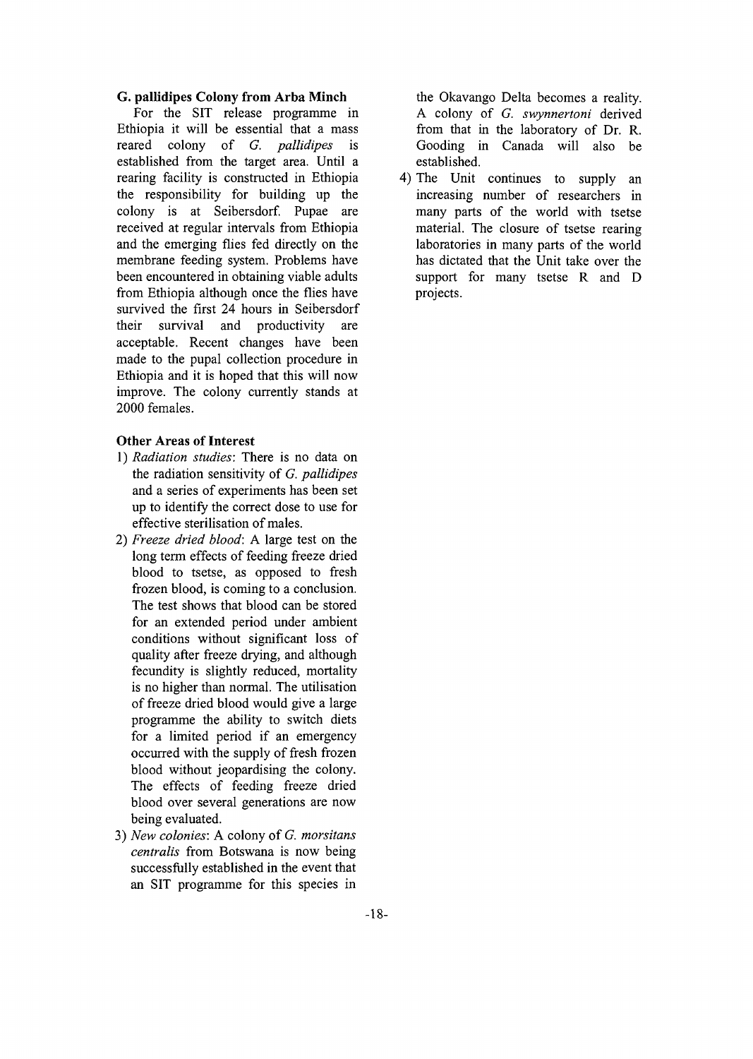#### **G. pallidipes Colony from Arba Minch**

For the SIT release programme in Ethiopia it will be essential that a mass reared colony of *G. pallidipes* is established from the target area. Until a rearing facility is constructed in Ethiopia the responsibility for building up the colony is at Seibersdorf. Pupae are received at regular intervals from Ethiopia and the emerging flies fed directly on the membrane feeding system. Problems have been encountered in obtaining viable adults from Ethiopia although once the flies have survived the first 24 hours in Seibersdorf their survival and productivity are acceptable. Recent changes have been made to the pupal collection procedure in Ethiopia and it is hoped that this will now improve. The colony currently stands at 2000 females.

#### **Other Areas of Interest**

- **1)** *Radiation studies:* There is no data on the radiation sensitivity of *G. pallidipes* and a series of experiments has been set up to identify the correct dose to use for effective sterilisation of males.
- 2) *Freeze dried blood:* A large test on the long term effects of feeding freeze dried blood to tsetse, as opposed to fresh frozen blood, is coming to a conclusion. The test shows that blood can be stored for an extended period under ambient conditions without significant loss of quality after freeze drying, and although fecundity is slightly reduced, mortality is no higher than normal. The utilisation of freeze dried blood would give a large programme the ability to switch diets for a limited period if an emergency occurred with the supply of fresh frozen blood without jeopardising the colony. The effects of feeding freeze dried blood over several generations are now being evaluated.
- 3) *New colonies:* A colony of *G. morsitans centralis* from Botswana is now being successfully established in the event that an SIT programme for this species in

the Okavango Delta becomes a reality. A colony of *G. swynnertoni* derived from that in the laboratory of Dr. R. Gooding in Canada will also be established.

4) The Unit continues to supply an increasing number of researchers in many parts of the world with tsetse material. The closure of tsetse rearing laboratories in many parts of the world has dictated that the Unit take over the support for many tsetse R and D projects.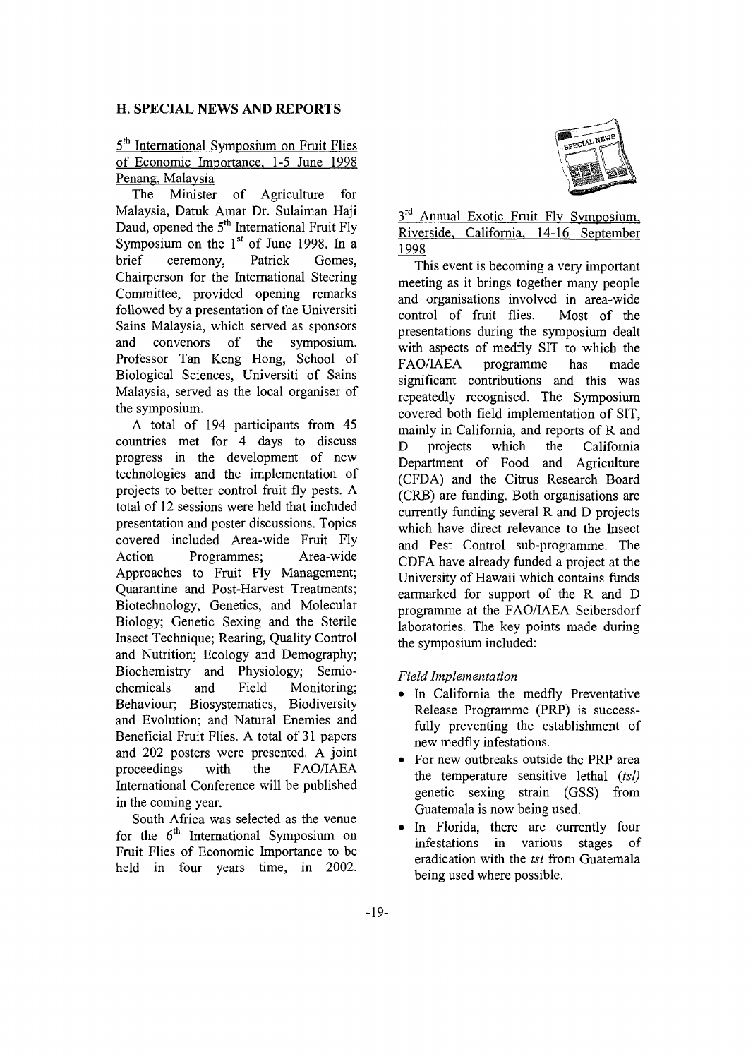#### **H. SPECIAL NEWS AND REPORTS**

### 5<sup>th</sup> International Symposium on Fruit Flies of Economic Importance, 1-5 June 1998 Penang, Malaysia

The Minister of Agriculture for Malaysia, Datuk Amar Dr. Sulaiman Haji Daud, opened the 5<sup>th</sup> International Fruit Fly Symposium on the  $1<sup>st</sup>$  of June 1998. In a brief ceremony, Patrick Gomes, Chairperson for the International Steering Committee, provided opening remarks followed by a presentation of the Universiti Sains Malaysia, which served as sponsors and convenors of the symposium. Professor Tan Keng Hong, School of Biological Sciences, Universiti of Sains Malaysia, served as the local organiser of the symposium.

A total of 194 participants from 45 countries met for 4 days to discuss progress in the development of new technologies and the implementation of projects to better control fruit fly pests. A total of 12 sessions were held that included presentation and poster discussions. Topics covered included Area-wide Fruit Fly Action Programmes; Area-wide Approaches to Fruit Fly Management; Quarantine and Post-Harvest Treatments; Biotechnology, Genetics, and Molecular Biology; Genetic Sexing and the Sterile Insect Technique; Rearing, Quality Control and Nutrition; Ecology and Demography; Biochemistry and Physiology; Semiochemicals and Field Monitoring; Behaviour; Biosystematics, Biodiversity and Evolution; and Natural Enemies and Beneficial Fruit Flies. A total of 31 papers and 202 posters were presented. A joint proceedings with the FAO/IAEA International Conference will be published in the coming year.

South Africa was selected as the venue for the 6<sup>th</sup> International Symposium on Fruit Flies of Economic Importance to be held in four years time, in 2002.



### 3<sup>rd</sup> Annual Exotic Fruit Fly Symposium, Riverside, California, 14-16 September 1998

This event is becoming a very important meeting as it brings together many people and organisations involved in area-wide control of fruit flies. Most of the presentations during the symposium dealt with aspects of medfly SIT to which the FAO/IAEA programme has made significant contributions and this was repeatedly recognised. The Symposium covered both field implementation of SIT, mainly in California, and reports of R and D projects which the California Department of Food and Agriculture (CFDA) and the Citrus Research Board (CRB) are funding. Both organisations are currently funding several R and D projects which have direct relevance to the Insect and Pest Control sub-programme. The CDFA have already funded a project at the University of Hawaii which contains funds earmarked for support of the R and D programme at the FAO/IAEA Seibersdorf laboratories. The key points made during the symposium included:

#### *Field Implementation*

- In California the medfly Preventative Release Programme (PRP) is successfully preventing the establishment of new medfly infestations.
- For new outbreaks outside the PRP area the temperature sensitive lethal *(tsl)* genetic sexing strain (GSS) from Guatemala is now being used.
- In Florida, there are currently four infestations in various stages of eradication with the *tsl* from Guatemala being used where possible.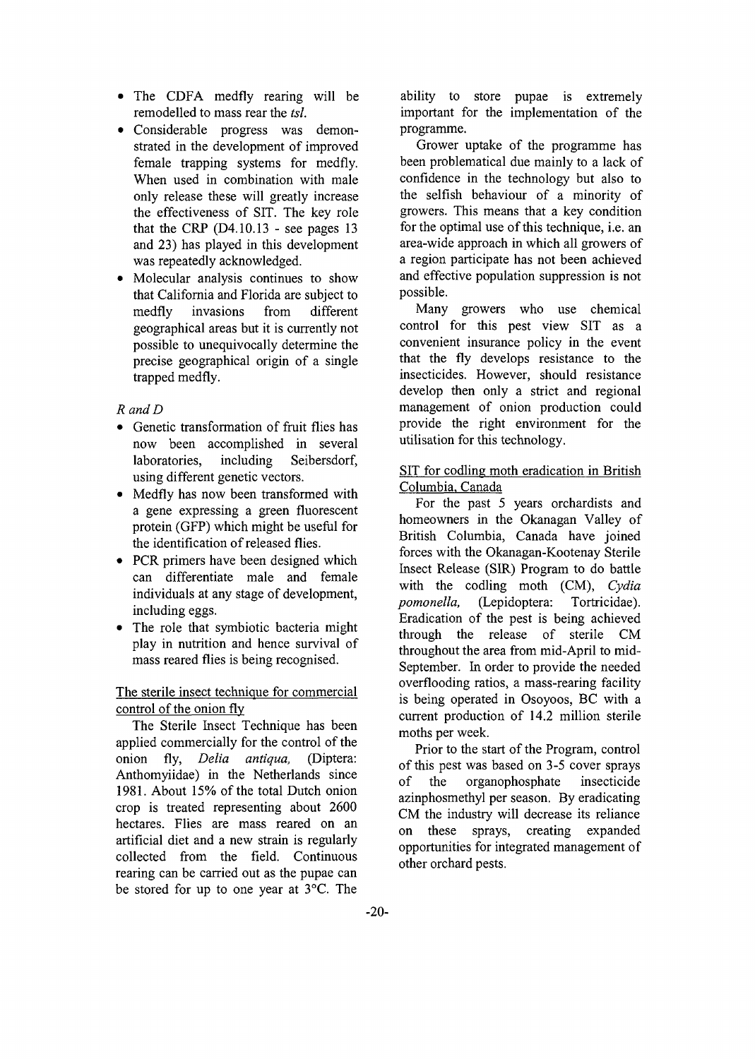- The CDFA medfiy rearing will be remodelled to mass rear the *tsl.*
- Considerable progress was demonstrated in the development of improved female trapping systems for medfiy. When used in combination with male only release these will greatly increase the effectiveness of SIT. The key role that the CRP  $(D4.10.13 - \text{see pages } 13)$ and 23) has played in this development was repeatedly acknowledged.
- Molecular analysis continues to show that California and Florida are subject to medfiy invasions from different geographical areas but it is currently not possible to unequivocally determine the precise geographical origin of a single trapped medfiy.

#### *RandD*

- Genetic transformation of fruit flies has now been accomplished in several laboratories, including Seibersdorf, using different genetic vectors.
- Medfly has now been transformed with a gene expressing a green fluorescent protein (GFP) which might be useful for the identification of released flies.
- PCR primers have been designed which can differentiate male and female individuals at any stage of development, including eggs.
- The role that symbiotic bacteria might play in nutrition and hence survival of mass reared flies is being recognised.

#### The sterile insect technique for commercial control of the onion fly

The Sterile Insect Technique has been applied commercially for the control of the onion fly, *Delia antiqua,* (Diptera: Anthomyiidae) in the Netherlands since 1981. About 15% of the total Dutch onion crop is treated representing about 2600 hectares. Flies are mass reared on an artificial diet and a new strain is regularly collected from the field. Continuous rearing can be carried out as the pupae can be stored for up to one year at 3°C. The

ability to store pupae is extremely important for the implementation of the programme.

Grower uptake of the programme has been problematical due mainly to a lack of confidence in the technology but also to the selfish behaviour of a minority of growers. This means that a key condition for the optimal use of this technique, i.e. an area-wide approach in which all growers of a region participate has not been achieved and effective population suppression is not possible.

Many growers who use chemical control for this pest view SIT as a convenient insurance policy in the event that the fly develops resistance to the insecticides. However, should resistance develop then only a strict and regional management of onion production could provide the right environment for the utilisation for this technology.

#### SIT for codling moth eradication in British Columbia, Canada

For the past 5 years orchardists and homeowners in the Okanagan Valley of British Columbia, Canada have joined forces with the Okanagan-Kootenay Sterile Insect Release (SIR) Program to do battle with the codling moth (CM), *Cydia pomonella,* (Lepidoptera: Tortricidae). Eradication of the pest is being achieved through the release of sterile CM throughout the area from mid-April to mid-September. In order to provide the needed overflooding ratios, a mass-rearing facility is being operated in Osoyoos, BC with a current production of 14.2 million sterile moths per week.

Prior to the start of the Program, control of this pest was based on 3-5 cover sprays of the organophosphate insecticide azinphosmethyl per season. By eradicating CM the industry will decrease its reliance on these sprays, creating expanded opportunities for integrated management of other orchard pests.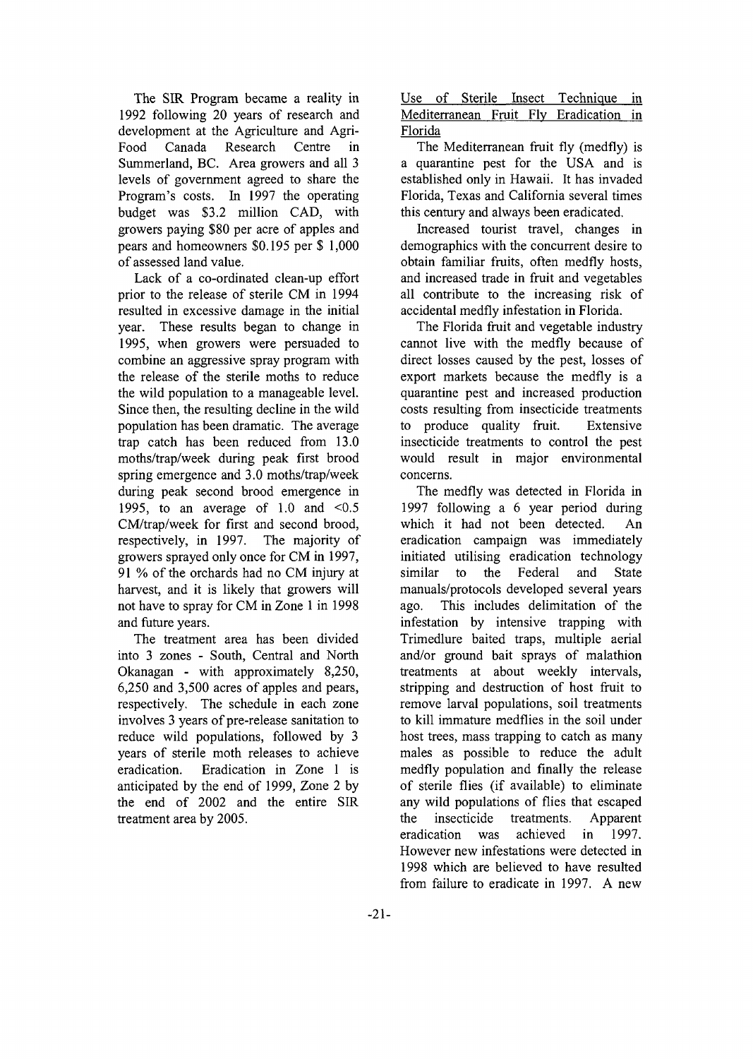The SIR Program became a reality in 1992 following 20 years of research and development at the Agriculture and Agri-Food Canada Research Centre in Summerland, BC. Area growers and all 3 levels of government agreed to share the Program's costs. In 1997 the operating budget was \$3.2 million CAD, with growers paying \$80 per acre of apples and pears and homeowners \$0,195 per \$ 1,000 of assessed land value.

Lack of a co-ordinated clean-up effort prior to the release of sterile CM in 1994 resulted in excessive damage in the initial year. These results began to change in 1995, when growers were persuaded to combine an aggressive spray program with the release of the sterile moths to reduce the wild population to a manageable level. Since then, the resulting decline in the wild population has been dramatic. The average trap catch has been reduced from 13.0 moths/trap/week during peak first brood spring emergence and 3.0 moths/trap/week during peak second brood emergence in 1995, to an average of 1.0 and  $\leq 0.5$ CM/trap/week for first and second brood, respectively, in 1997. The majority of growers sprayed only once for CM in 1997, 91 % of the orchards had no CM injury at harvest, and it is likely that growers will not have to spray for CM in Zone 1 in 1998 and future years.

The treatment area has been divided into 3 zones - South, Central and North Okanagan - with approximately 8,250, 6,250 and 3,500 acres of apples and pears, respectively. The schedule in each zone involves 3 years of pre-release sanitation to reduce wild populations, followed by 3 years of sterile moth releases to achieve eradication. Eradication in Zone 1 is anticipated by the end of 1999, Zone 2 by the end of 2002 and the entire SIR treatment area by 2005.

Use of Sterile Insect Technique in Mediterranean Fruit Fly Eradication in Florida

The Mediterranean fruit fly (medfly) is a quarantine pest for the USA and is established only in Hawaii. It has invaded Florida, Texas and California several times this century and always been eradicated.

Increased tourist travel, changes in demographics with the concurrent desire to obtain familiar fruits, often medfly hosts, and increased trade in fruit and vegetables all contribute to the increasing risk of accidental medfly infestation in Florida.

The Florida fruit and vegetable industry cannot live with the medfly because of direct losses caused by the pest, losses of export markets because the medfly is a quarantine pest and increased production costs resulting from insecticide treatments to produce quality fruit. Extensive insecticide treatments to control the pest would result in major environmental concerns.

The medfly was detected in Florida in 1997 following a 6 year period during which it had not been detected. An eradication campaign was immediately initiated utilising eradication technology similar to the Federal and State manuals/protocols developed several years ago. This includes delimitation of the infestation by intensive trapping with Trimedlure baited traps, multiple aerial and/or ground bait sprays of malathion treatments at about weekly intervals, stripping and destruction of host fruit to remove larval populations, soil treatments to kill immature medflies in the soil under host trees, mass trapping to catch as many males as possible to reduce the adult medfly population and finally the release of sterile flies (if available) to eliminate any wild populations of flies that escaped the insecticide treatments. Apparent eradication was achieved in 1997. However new infestations were detected in 1998 which are believed to have resulted from failure to eradicate in 1997. A new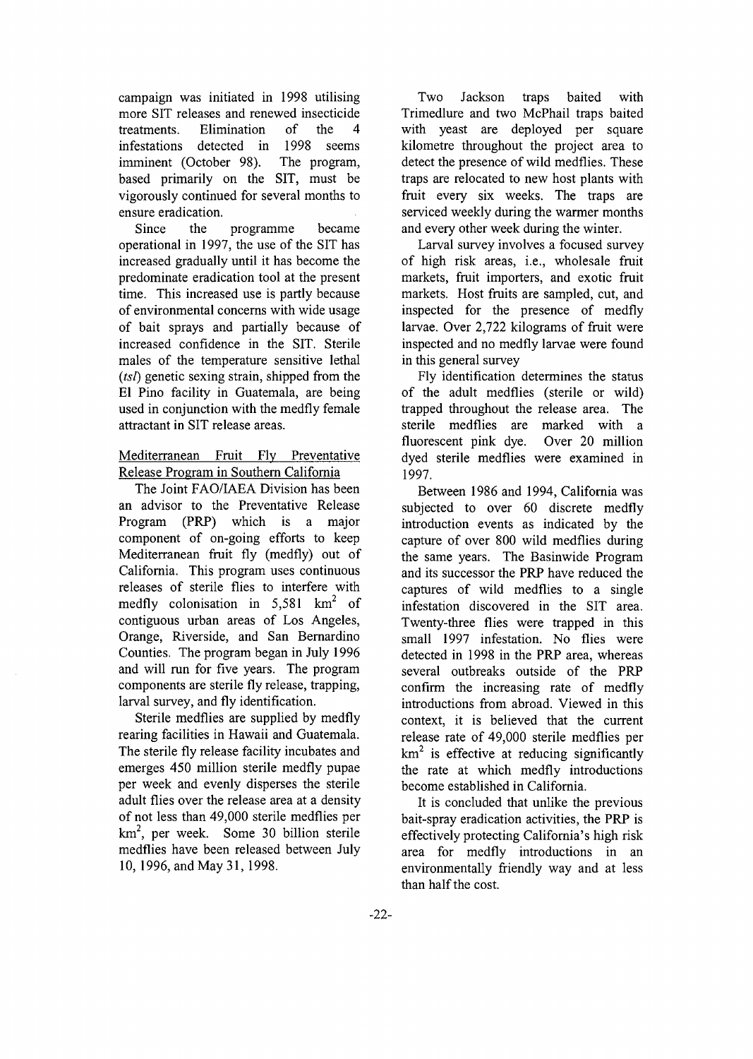campaign was initiated in 1998 utilising more SIT releases and renewed insecticide treatments. Elimination of the 4 infestations detected in 1998 seems imminent (October 98). The program, based primarily on the SIT, must be vigorously continued for several months to ensure eradication.

Since the programme became operational in 1997, the use of the SIT has increased gradually until it has become the predominate eradication tool at the present time. This increased use is partly because of environmental concerns with wide usage of bait sprays and partially because of increased confidence in the SIT. Sterile males of the temperature sensitive lethal *(tsl)* genetic sexing strain, shipped from the El Pino facility in Guatemala, are being used in conjunction with the medfly female attractant in SIT release areas.

### Mediterranean Fruit Fly Preventative Release Program in Southern California

The Joint FAO/IAEA Division has been an advisor to the Preventative Release Program (PRP) which is a major component of on-going efforts to keep Mediterranean fruit fly (medfly) out of California. This program uses continuous releases of sterile flies to interfere with medfly colonisation in 5,581  $km^2$  of contiguous urban areas of Los Angeles, Orange, Riverside, and San Bernardino Counties. The program began in July 1996 and will run for five years. The program components are sterile fly release, trapping, larval survey, and fly identification.

Sterile medflies are supplied by medfly rearing facilities in Hawaii and Guatemala. The sterile fly release facility incubates and emerges 450 million sterile medfly pupae per week and evenly disperses the sterile adult flies over the release area at a density of not less than 49,000 sterile medflies per km<sup>2</sup> , per week. Some 30 billion sterile medflies have been released between July 10, 1996, and May 31, 1998.

Two Jackson traps baited with Trimedlure and two McPhail traps baited with yeast are deployed per square kilometre throughout the project area to detect the presence of wild medflies. These traps are relocated to new host plants with fruit every six weeks. The traps are serviced weekly during the warmer months and every other week during the winter.

Larval survey involves a focused survey of high risk areas, i.e., wholesale fruit markets, fruit importers, and exotic fruit markets. Host fruits are sampled, cut, and inspected for the presence of medfly larvae. Over 2,722 kilograms of fruit were inspected and no medfly larvae were found in this general survey

Fly identification determines the status of the adult medflies (sterile or wild) trapped throughout the release area. The sterile medflies are marked with a fluorescent pink dye. Over 20 million dyed sterile medflies were examined in 1997.

Between 1986 and 1994, California was subjected to over 60 discrete medfly introduction events as indicated by the capture of over 800 wild medflies during the same years. The Basinwide Program and its successor the PRP have reduced the captures of wild medflies to a single infestation discovered in the SIT area. Twenty-three flies were trapped in this small 1997 infestation. No flies were detected in 1998 in the PRP area, whereas several outbreaks outside of the PRP confirm the increasing rate of medfly introductions from abroad. Viewed in this context, it is believed that the current release rate of 49,000 sterile medflies per  $km<sup>2</sup>$  is effective at reducing significantly the rate at which medfly introductions become established in California.

It is concluded that unlike the previous bait-spray eradication activities, the PRP is effectively protecting California's high risk area for medfly introductions in an environmentally friendly way and at less than half the cost.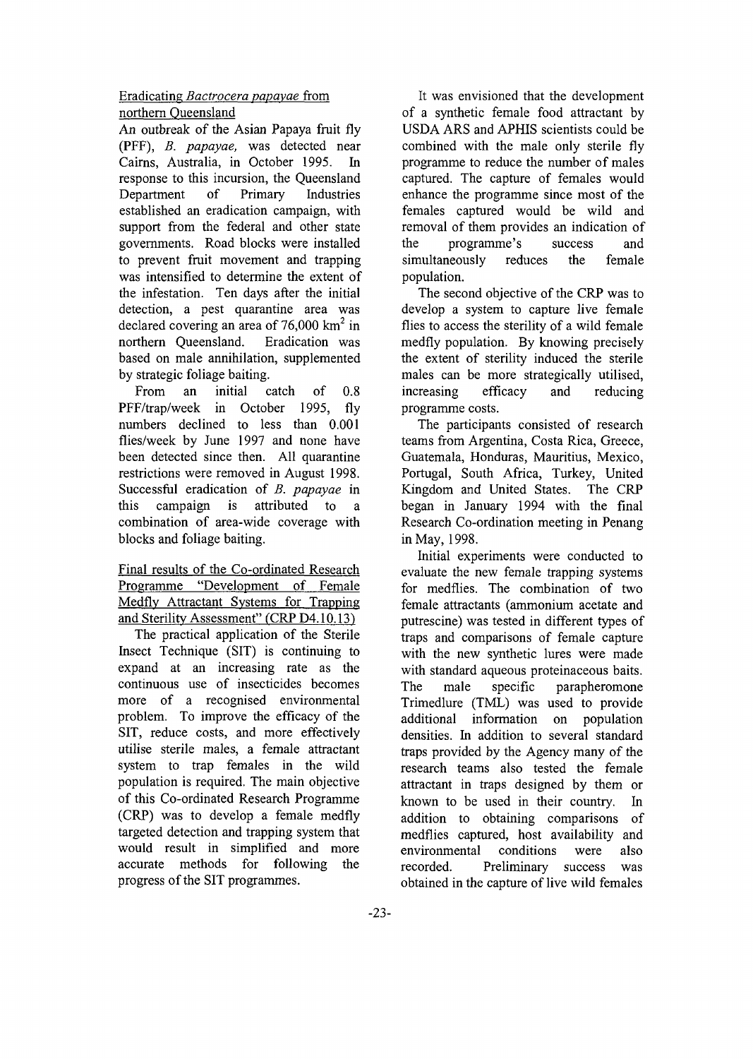### Eradicating *Bactrocera papayae* from northern Queensland

An outbreak of the Asian Papaya fruit fly (PFF), *B. papayae,* was detected near Cairns, Australia, in October 1995. In response to this incursion, the Queensland Department of Primary Industries established an eradication campaign, with support from the federal and other state governments. Road blocks were installed to prevent fruit movement and trapping was intensified to determine the extent of the infestation. Ten days after the initial detection, a pest quarantine area was declared covering an area of 76,000  $\text{km}^2$  in northern Queensland. Eradication was based on male annihilation, supplemented by strategic foliage baiting.

From an initial catch of 0.8 PFF/trap/week in October 1995, fly numbers declined to less than 0.001 flies/week by June 1997 and none have been detected since then. All quarantine restrictions were removed in August 1998. Successful eradication of *B. papayae* in this campaign is attributed to a combination of area-wide coverage with blocks and foliage baiting.

Final results of the Co-ordinated Research Programme "Development of Female Medflv Attractant Systems for Trapping and Sterility Assessment" (CRP D4.10.13)

The practical application of the Sterile Insect Technique (SIT) is continuing to expand at an increasing rate as the continuous use of insecticides becomes more of a recognised environmental problem. To improve the efficacy of the SIT, reduce costs, and more effectively utilise sterile males, a female attractant system to trap females in the wild population is required. The main objective of this Co-ordinated Research Programme (CRP) was to develop a female medfly targeted detection and trapping system that would result in simplified and more accurate methods for following the progress of the SIT programmes.

It was envisioned that the development of a synthetic female food attractant by USDA ARS and APHIS scientists could be combined with the male only sterile fly programme to reduce the number of males captured. The capture of females would enhance the programme since most of the females captured would be wild and removal of them provides an indication of the programme's success and simultaneously reduces the female population.

The second objective of the CRP was to develop a system to capture live female flies to access the sterility of a wild female medfly population. By knowing precisely the extent of sterility induced the sterile males can be more strategically utilised, increasing efficacy and reducing programme costs.

The participants consisted of research teams from Argentina, Costa Rica, Greece, Guatemala, Honduras, Mauritius, Mexico, Portugal, South Africa, Turkey, United Kingdom and United States. The CRP began in January 1994 with the final Research Co-ordination meeting in Penang in May, 1998.

Initial experiments were conducted to evaluate the new female trapping systems for medflies. The combination of two female attractants (ammonium acetate and putrescine) was tested in different types of traps and comparisons of female capture with the new synthetic lures were made with standard aqueous proteinaceous baits. The male specific parapheromone Trimedlure (TML) was used to provide additional information on population densities. In addition to several standard traps provided by the Agency many of the research teams also tested the female attractant in traps designed by them or known to be used in their country. In addition to obtaining comparisons of medflies captured, host availability and environmental conditions were also recorded. Preliminary success was obtained in the capture of live wild females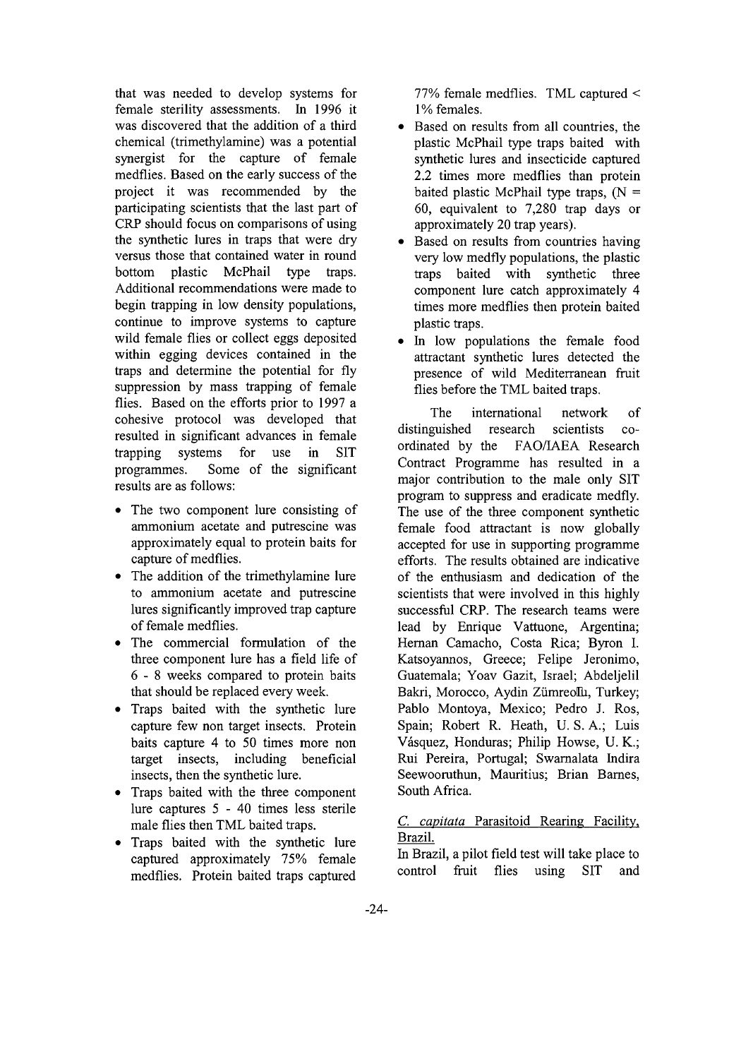that was needed to develop systems for female sterility assessments. In 1996 it was discovered that the addition of a third chemical (trimethylamine) was a potential synergist for the capture of female medflies. Based on the early success of the project it was recommended by the participating scientists that the last part of CRP should focus on comparisons of using the synthetic lures in traps that were dry versus those that contained water in round bottom plastic McPhail type traps. Additional recommendations were made to begin trapping in low density populations, continue to improve systems to capture wild female flies or collect eggs deposited within egging devices contained in the traps and determine the potential for fly suppression by mass trapping of female flies. Based on the efforts prior to 1997 a cohesive protocol was developed that resulted in significant advances in female trapping systems for use in SIT programmes. Some of the significant results are as follows:

- The two component lure consisting of ammonium acetate and putrescine was approximately equal to protein baits for capture of medflies.
- The addition of the trimethylamine lure to ammonium acetate and putrescine lures significantly improved trap capture of female medflies.
- The commercial formulation of the three component lure has a field life of 6 - 8 weeks compared to protein baits that should be replaced every week.
- Traps baited with the synthetic lure capture few non target insects. Protein baits capture 4 to 50 times more non target insects, including beneficial insects, then the synthetic lure.
- Traps baited with the three component lure captures 5 - 40 times less sterile male flies then TML baited traps.
- Traps baited with the synthetic lure captured approximately 75% female medflies. Protein baited traps captured

77% female medflies. TML captured < 1% females.

- Based on results from all countries, the plastic McPhail type traps baited with synthetic lures and insecticide captured 2.2 times more medflies than protein baited plastic McPhail type traps,  $(N =$ 60, equivalent to 7,280 trap days or approximately 20 trap years).
- Based on results from countries having very low medfly populations, the plastic traps baited with synthetic three component lure catch approximately 4 times more medflies then protein baited plastic traps.
- In low populations the female food attractant synthetic lures detected the presence of wild Mediterranean fruit flies before the TML baited traps.

The international network of distinguished research scientists coordinated by the FAO/IAEA Research Contract Programme has resulted in a major contribution to the male only SIT program to suppress and eradicate medfly. The use of the three component synthetic female food attractant is now globally accepted for use in supporting programme efforts. The results obtained are indicative of the enthusiasm and dedication of the scientists that were involved in this highly successful CRP. The research teams were lead by Enrique Vattuone, Argentina; Hernan Camacho, Costa Rica; Byron I. Katsoyannos, Greece; Felipe Jeronimo, Guatemala; Yoav Gazit, Israel; Abdeljelil Bakri, Morocco, Aydin Zümreollu, Turkey; Pablo Montoya, Mexico; Pedro J. Ros, Spain; Robert R. Heath, U. S. A.; Luis Vasquez, Honduras; Philip Howse, U. K.; Rui Pereira, Portugal; Swarnalata Indira Seewooruthun, Mauritius; Brian Barnes, South Africa.

### *C. capitata* Parasitoid Rearing Facility, Brazil.

In Brazil, a pilot field test will take place to control fruit flies using SIT and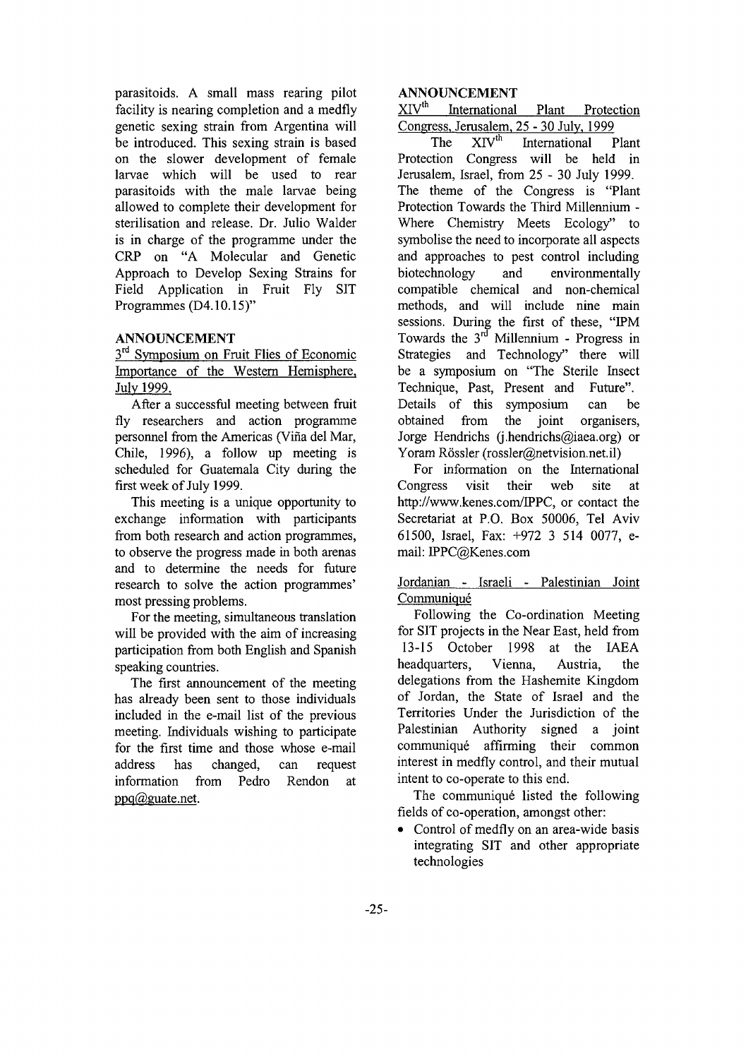parasitoids. A small mass rearing pilot facility is nearing completion and a medfly genetic sexing strain from Argentina will be introduced. This sexing strain is based on the slower development of female larvae which will be used to rear parasitoids with the male larvae being allowed to complete their development for sterilisation and release. Dr. Julio Walder is in charge of the programme under the CRP on "A Molecular and Genetic Approach to Develop Sexing Strains for Field Application in Fruit Fly SIT Programmes (D4.**1**0.**1**5)"

#### **ANNOUNCEMENT**

3<sup>rd</sup> Symposium on Fruit Flies of Economic Importance of the Western Hemisphere, July 1999.

After a successful meeting between fruit fly researchers and action programme personnel from the Americas (Vina del Mar, Chile, 1996), a follow up meeting is scheduled for Guatemala City during the first week of July 1999.

This meeting is a unique opportunity to exchange information with participants from both research and action programmes, to observe the progress made in both arenas and to determine the needs for future research to solve the action programmes' most pressing problems.

For the meeting, simultaneous translation will be provided with the aim of increasing participation from both English and Spanish speaking countries.

The first announcement of the meeting has already been sent to those individuals included in the e-mail list of the previous meeting. Individuals wishing to participate for the first time and those whose e-mail address has changed, can request information from Pedro Rendon at  $ppq@guate.net.$ 

#### **ANNOUNCEMENT**

XIV<sup>th</sup> International Plant Protection Congress, Jerusalem, 25 - 30 July. 1999

The  $X_1V^{\text{th}}$  International Plant Protection Congress will be held in Jerusalem, Israel, from 25 - 30 July 1999. The theme of the Congress is "Plant Protection Towards the Third Millennium - Where Chemistry Meets Ecology" to symbolise the need to incorporate all aspects and approaches to pest control including biotechnology and environmentally compatible chemical and non-chemical methods, and will include nine main sessions. During the first of these, "IPM Towards the  $3^{rd}$  Millennium - Progress in Strategies and Technology" there will be a symposium on "The Sterile Insect Technique, Past, Present and Future". Details of this symposium can be obtained from the joint organisers, Jorge Hendrichs (j.hendrichs@iaea.org) or Yoram Rössler (rossler@netvision.net.il)

For information on the International Congress visit their web site at http://www.kenes.com/IPPC, or contact the Secretariat at P.O. Box 50006, Tel Aviv 61500, Israel, Fax: +972 3 514 0077, email: IPPC@Kenes.com

Jordanian - Israeli - Palestinian Joint **Communiqué** 

Following the Co-ordination Meeting for SIT projects in the Near East, held from 13-15 October 1998 at the IAEA headquarters, Vienna, Austria, the delegations from the Hashemite Kingdom of Jordan, the State of Israel and the Territories Under the Jurisdiction of the Palestinian Authority signed a joint communique affirming their common interest in medfly control, and their mutual intent to co-operate to this end.

The communiqué listed the following fields of co-operation, amongst other:

• Control of medfly on an area-wide basis integrating SIT and other appropriate technologies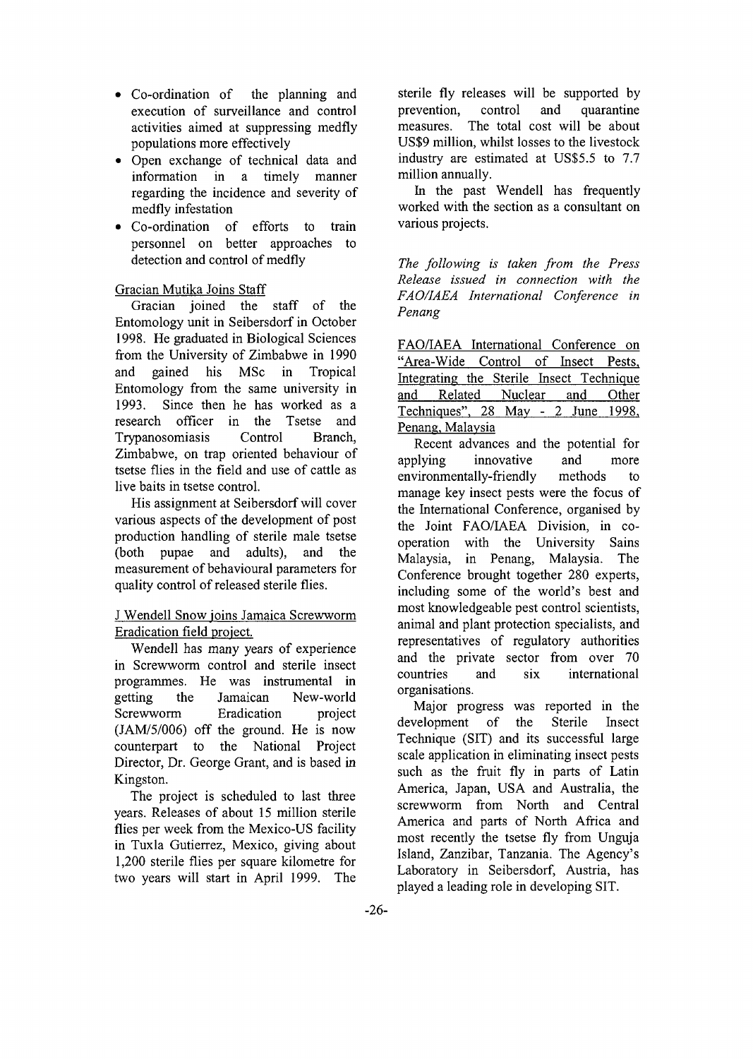- Co-ordination of the planning and execution of surveillance and control activities aimed at suppressing medfly populations more effectively
- Open exchange of technical data and information in a timely manner regarding the incidence and severity of medfly infestation
- Co-ordination of efforts to train personnel on better approaches to detection and control of medfly

### Gracian Mutika Joins Staff

Gracian joined the staff of the Entomology unit in Seibersdorf in October 1998. He graduated in Biological Sciences from the University of Zimbabwe in 1990 and gained his MSc in Tropical Entomology from the same university in 1993. Since then he has worked as a research officer in the Tsetse and Trypanosomiasis Control Branch, Zimbabwe, on trap oriented behaviour of tsetse flies in the field and use of cattle as live baits in tsetse control.

His assignment at Seibersdorf will cover various aspects of the development of post production handling of sterile male tsetse (both pupae and adults), and the measurement of behavioural parameters for quality control of released sterile flies.

### J Wendell Snow joins Jamaica Screwworm Eradication field project.

Wendell has many years of experience in Screwworm control and sterile insect programmes. He was instrumental in getting the Jamaican New-world Screwworm Eradication project (JAM/5/006) off the ground. He is now counterpart to the National Project Director, Dr. George Grant, and is based in Kingston.

The project is scheduled to last three years. Releases of about 15 million sterile flies per week from the Mexico-US facility in Tuxla Gutierrez, Mexico, giving about 1,200 sterile flies per square kilometre for two years will start in April 1999. The

sterile fly releases will be supported by prevention, control and quarantine measures. The total cost will be about US\$9 million, whilst losses to the livestock industry are estimated at US\$5.5 to 7.7 million annually.

In the past Wendell has frequently worked with the section as a consultant on various projects.

*The following is taken from the Press Release issued in connection with the FAO/IAEA International Conference in Penang*

FAO/IAEA International Conference on "Area-Wide Control of Insect Pests, Integrating the Sterile Insect Technique and Related Nuclear and Other Techniques". 28 May - 2 June 1998, Penang, Malaysia

Recent advances and the potential for applying innovative and more environmentally-friendly methods to manage key insect pests were the focus of the International Conference, organised by the Joint FAO/IAEA Division, in cooperation with the University Sains Malaysia, in Penang, Malaysia. The Conference brought together 280 experts, including some of the world's best and most knowledgeable pest control scientists, animal and plant protection specialists, and representatives of regulatory authorities and the private sector from over 70 countries and six international organisations.

Major progress was reported in the development of the Sterile Insect Technique (SIT) and its successful large scale application in eliminating insect pests such as the fruit fly in parts of Latin America, Japan, USA and Australia, the screwworm from North and Central America and parts of North Africa and most recently the tsetse fly from Unguja Island, Zanzibar, Tanzania. The Agency's Laboratory in Seibersdorf, Austria, has played a leading role in developing SIT.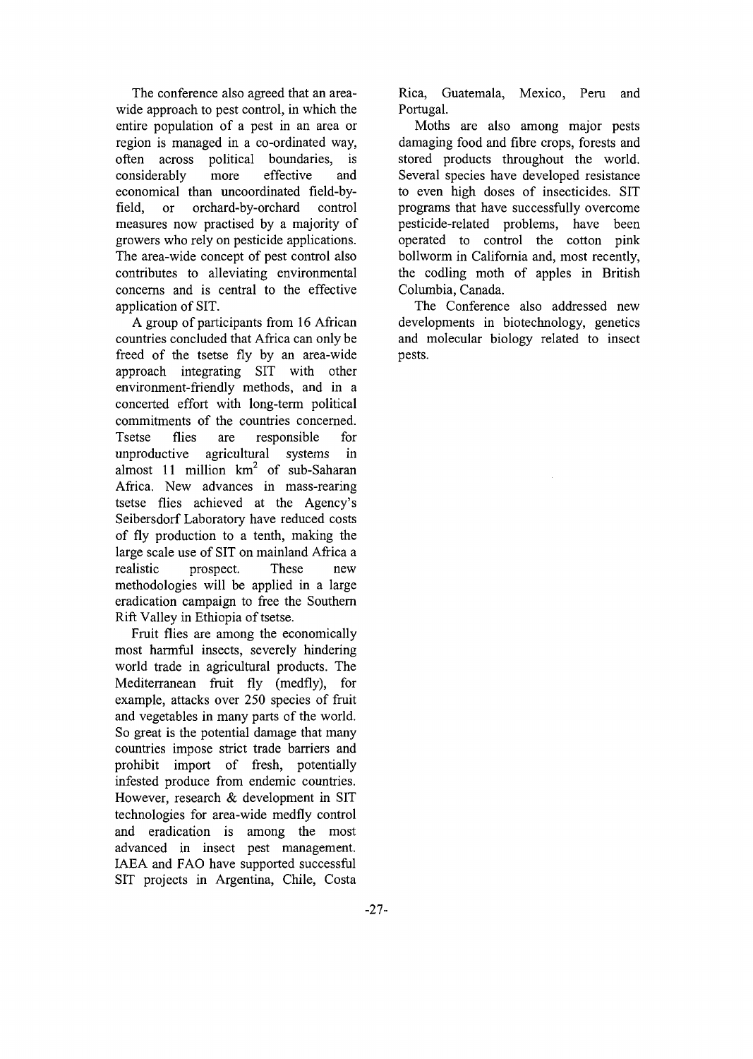The conference also agreed that an areawide approach to pest control, in which the entire population of a pest in an area or region is managed in a co-ordinated way, often across political boundaries, is considerably more effective and economical than uncoordinated field-byfield, or orchard-by-orchard control measures now practised by a majority of growers who rely on pesticide applications. The area-wide concept of pest control also contributes to alleviating environmental concerns and is central to the effective application of SIT.

A group of participants from 16 African countries concluded that Africa can only be freed of the tsetse fly by an area-wide approach integrating SIT with other environment-friendly methods, and in a concerted effort with long-term political commitments of the countries concerned. Tsetse flies are responsible for unproductive agricultural systems in almost 11 million  $km^2$  of sub-Saharan Africa. New advances in mass-rearing tsetse flies achieved at the Agency's Seibersdorf Laboratory have reduced costs of fly production to a tenth, making the large scale use of SIT on mainland Africa a realistic prospect. These new methodologies will be applied in a large eradication campaign to free the Southern Rift Valley in Ethiopia of tsetse.

Fruit flies are among the economically most harmful insects, severely hindering world trade in agricultural products. The Mediterranean fruit fly (medfly), for example, attacks over 250 species of fruit and vegetables in many parts of the world. So great is the potential damage that many countries impose strict trade barriers and prohibit import of fresh, potentially infested produce from endemic countries. However, research & development in SIT technologies for area-wide medfly control and eradication is among the most advanced in insect pest management. IAEA and FAO have supported successful SIT projects in Argentina, Chile, Costa

Rica, Guatemala, Mexico, Peru and Portugal.

Moths are also among major pests damaging food and fibre crops, forests and stored products throughout the world. Several species have developed resistance to even high doses of insecticides. SIT programs that have successfully overcome pesticide-related problems, have been operated to control the cotton pink bollworm in California and, most recently, the codling moth of apples in British Columbia, Canada.

The Conference also addressed new developments in biotechnology, genetics and molecular biology related to insect pests.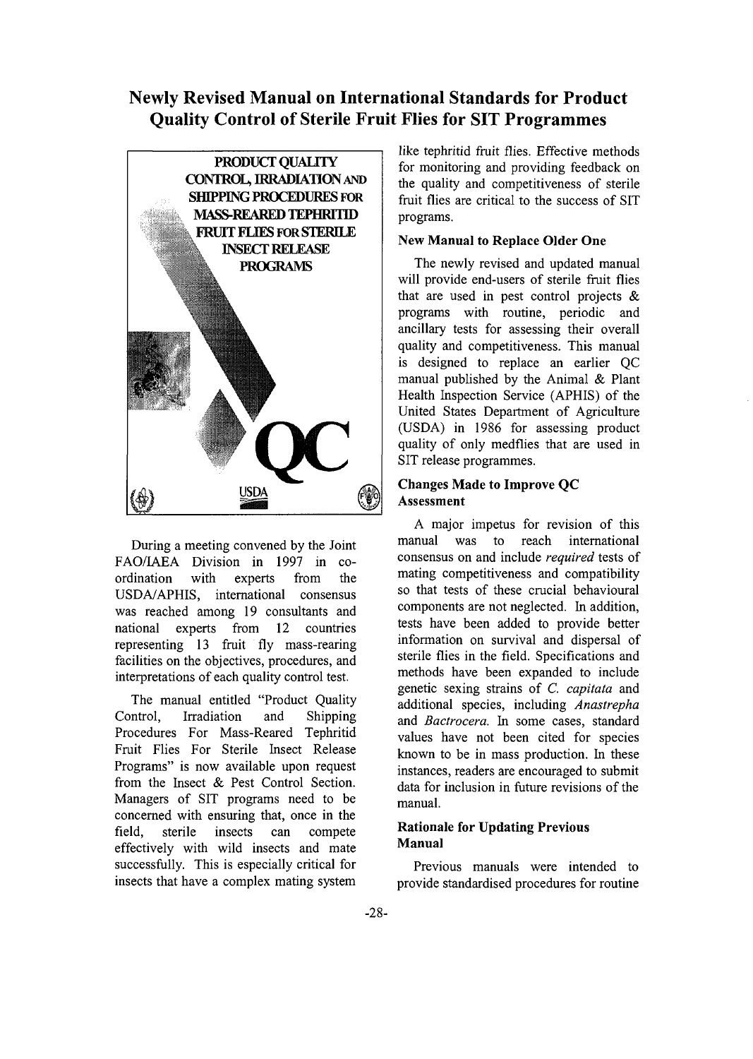# Newly Revised Manual on International Standards for Product Quality Control of Sterile Fruit Flies for SIT Programmes



During a meeting convened by the Joint FAO/IAEA Division in 1997 in coordination with experts from the USDA/APHIS, international consensus was reached among 19 consultants and national experts from 12 countries representing 13 fruit fly mass-rearing facilities on the objectives, procedures, and interpretations of each quality control test.

The manual entitled "Product Quality Control, Irradiation and Shipping Procedures For Mass-Reared Tephritid Fruit Flies For Sterile Insect Release Programs" is now available upon request from the Insect & Pest Control Section. Managers of SIT programs need to be concerned with ensuring that, once in the field, sterile insects can compete effectively with wild insects and mate successfully. This is especially critical for insects that have a complex mating system

like tephritid fruit flies. Effective methods for monitoring and providing feedback on the quality and competitiveness of sterile fruit flies are critical to the success of SIT programs.

#### **New Manual to Replace Older One**

The newly revised and updated manual will provide end-users of sterile fruit flies that are used in pest control projects  $\&$ programs with routine, periodic and ancillary tests for assessing their overall quality and competitiveness. This manual is designed to replace an earlier QC manual published by the Animal & Plant Health Inspection Service (APHIS) of the United States Department of Agriculture (USDA) in 1986 for assessing product quality of only medflies that are used in SIT release programmes.

#### **Changes Made to Improve QC Assessment**

A major impetus for revision of this manual was to reach international consensus on and include *required* tests of mating competitiveness and compatibility so that tests of these crucial behavioural components are not neglected. In addition, tests have been added to provide better information on survival and dispersal of sterile flies in the field. Specifications and methods have been expanded to include genetic sexing strains of *C. capitata* and additional species, including *Anastrepha* and *Bactrocera.* In some cases, standard values have not been cited for species known to be in mass production. In these instances, readers are encouraged to submit data for inclusion in future revisions of the manual.

### **Rationale for Updating Previous Manual**

Previous manuals were intended to provide standardised procedures for routine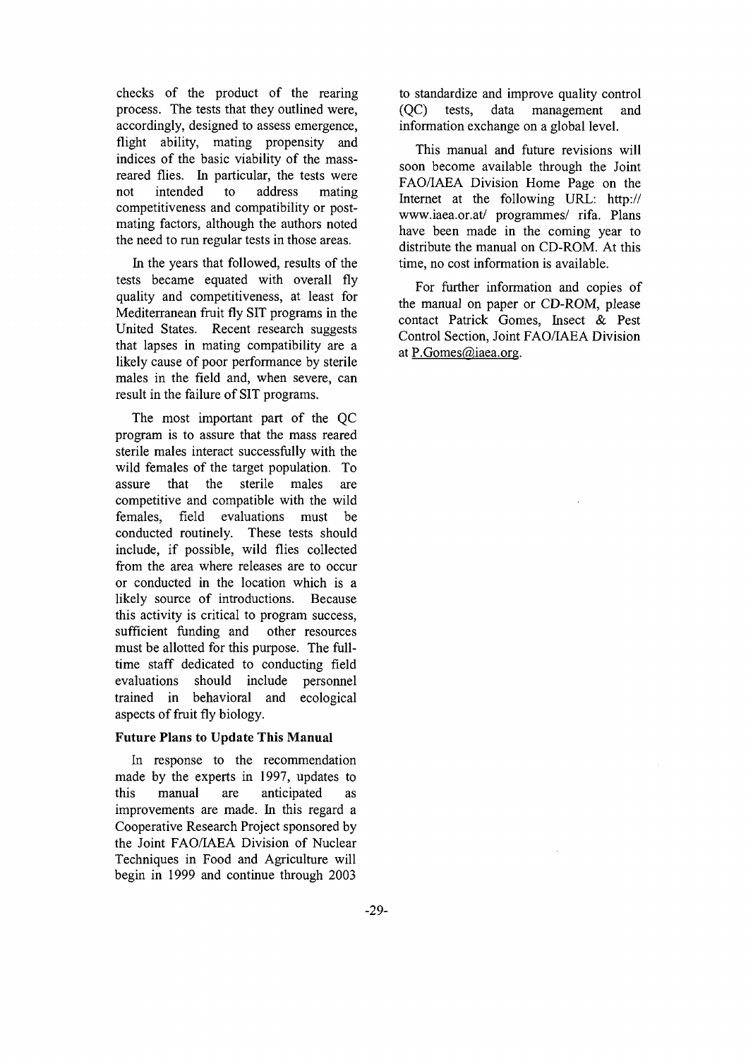checks of the product of the rearing process. The tests that they outlined were, accordingly, designed to assess emergence, flight ability, mating propensity and indices of the basic viability of the massreared flies. In particular, the tests were not intended to address mating competitiveness and compatibility or postmating factors, although the authors noted the need to run regular tests in those areas.

In the years that followed, results of the tests became equated with overall fly quality and competitiveness, at least for Mediterranean fruit fly SIT programs in the United States. Recent research suggests that lapses in mating compatibility are a likely cause of poor performance by sterile males in the field and, when severe, can result in the failure of SIT programs.

The most important part of the QC program is to assure that the mass reared sterile males interact successfully with the wild females of the target population. To assure that the sterile males are competitive and compatible with the wild females, field evaluations must be conducted routinely. These tests should include, if possible, wild flies collected from the area where releases are to occur or conducted in the location which is a likely source of introductions. Because this activity is critical to program success, sufficient funding and other resources must be allotted for this purpose. The fulltime staff dedicated to conducting field evaluations should include personnel trained in behavioral and ecological aspects of fruit fly biology.

#### **Future Plans to Update This Manual**

In response to the recommendation made by the experts in 1997, updates to this manual are anticipated as improvements are made. In this regard a Cooperative Research Project sponsored by the Joint FAO/IAEA Division of Nuclear Techniques in Food and Agriculture will begin in 1999 and continue through 2003

to standardize and improve quality control (QC) tests, data management and information exchange on a global level.

This manual and future revisions will soon become available through the Joint FAO/IAEA Division Home Page on the Internet at the following URL: http:// www.iaea.or.at/ programmes/ rifa. Plans have been made in the coming year to distribute the manual on CD-ROM. At this time, no cost information is available.

For further information and copies of the manual on paper or CD-ROM, please contact Patrick Gomes, Insect & Pest Control Section, Joint FAO/LAEA Division at P.Gomes@iaea.org.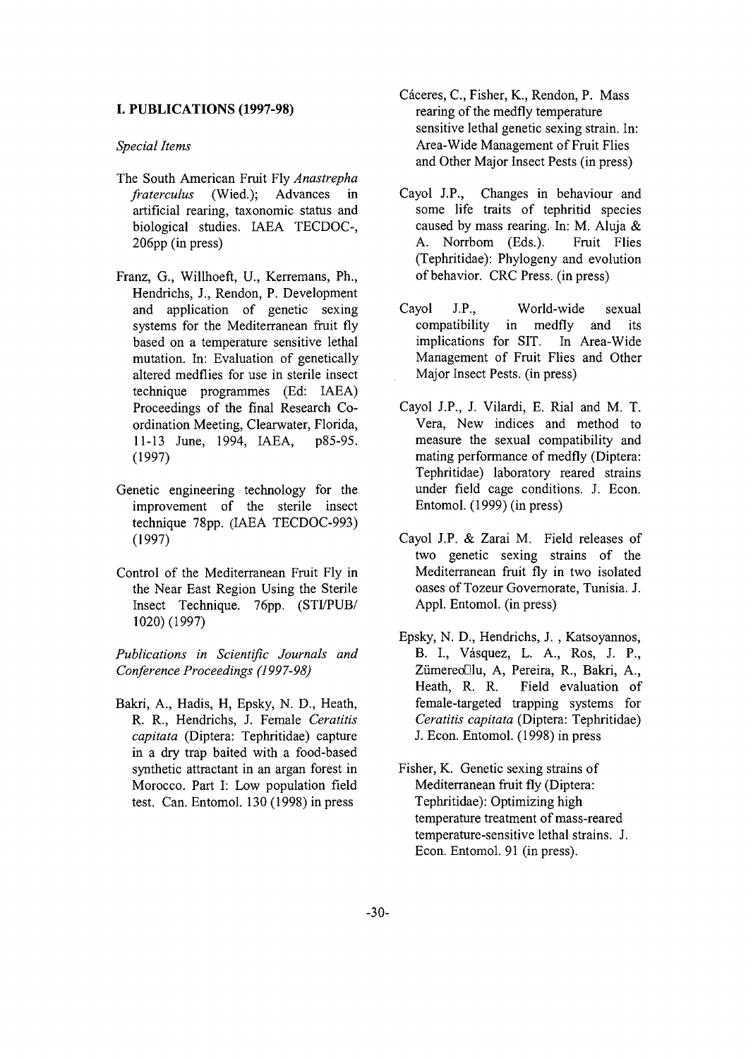#### **I. PUBLICATIONS (1997-98)**

#### *Special Items*

- The South American Fruit Fly *Anastrepha fraterculus* (Wied.); Advances in artificial rearing, taxonomic status and biological studies. IAEA TECDOC-, 206pp (in press)
- Franz, G., Willhoeft, U., Kerremans, Ph., Hendrichs, J., Rendon, P. Development and application of genetic sexing systems for the Mediterranean fruit fly based on a temperature sensitive lethal mutation. In: Evaluation of genetically altered medflies for use in sterile insect technique programmes (Ed: IAEA) Proceedings of the final Research Coordination Meeting, Clearwater, Florida, 11-13 June, 1994, IAEA, p85-95. (1997)
- Genetic engineering technology for the improvement of the sterile insect technique 78pp. (IAEA TECDOC-993) (1997)
- Control of the Mediterranean Fruit Fly in the Near East Region Using the Sterile Insect Technique. 76pp. (STI/PUB/ 1020) (1997)

*Publications in Scientific Journals and Conference Proceedings (1997-98)*

Bakri, A., Hadis, H, Epsky, N. D., Heath, R. R., Hendrichs, J. Female *Ceratitis capitata* (Diptera: Tephritidae) capture in a dry trap baited with a food-based synthetic attractant in an argan forest in Morocco. Part I: Low population field test. Can. Entomol. 130 (1998) in press

- Cáceres, C., Fisher, K., Rendon, P. Mass rearing of the medfly temperature sensitive lethal genetic sexing strain. In: Area-Wide Management of Fruit Flies and Other Major Insect Pests (in press)
- Cayol J.P., Changes in behaviour and some life traits of tephritid species caused by mass rearing. In: M. Aluja & A. Norrbom (Eds.). Fruit Flies (Tephritidae): Phylogeny and evolution of behavior. CRC Press, (in press)
- Cayol J.P., World-wide sexual compatibility in medfly and its implications for SIT. In Area-Wide Management of Fruit Flies and Other Major Insect Pests, (in press)
- Cayol J.P., J. Vilardi, E. Rial and M. T. Vera, New indices and method to measure the sexual compatibility and mating performance of medfly (Diptera: Tephritidae) laboratory reared strains under field cage conditions. J. Econ. Entomol. (1999) (in press)
- Cayol J.P. & Zarai M. Field releases of two genetic sexing strains of the Mediterranean fruit fly in two isolated oases of Tozeur Governorate, Tunisia. J. Appl. Entomol. (in press)
- Epsky, N. D., Hendrichs, J. , Katsoyannos, B. I, Vasquez, L. A., Ros, J. P., Zümereo<sup>[1]</sup>u, A, Pereira, R., Bakri, A., Heath, R. R. Field evaluation of female-targeted trapping systems for *Ceratitis capitata* (Diptera: Tephritidae) J. Econ. Entomol. (1998) in press
- Fisher, K. Genetic sexing strains of Mediterranean fruit fly (Diptera: Tephritidae): Optimizing high temperature treatment of mass-reared temperature-sensitive lethal strains. J. Econ. Entomol. 91 (in press).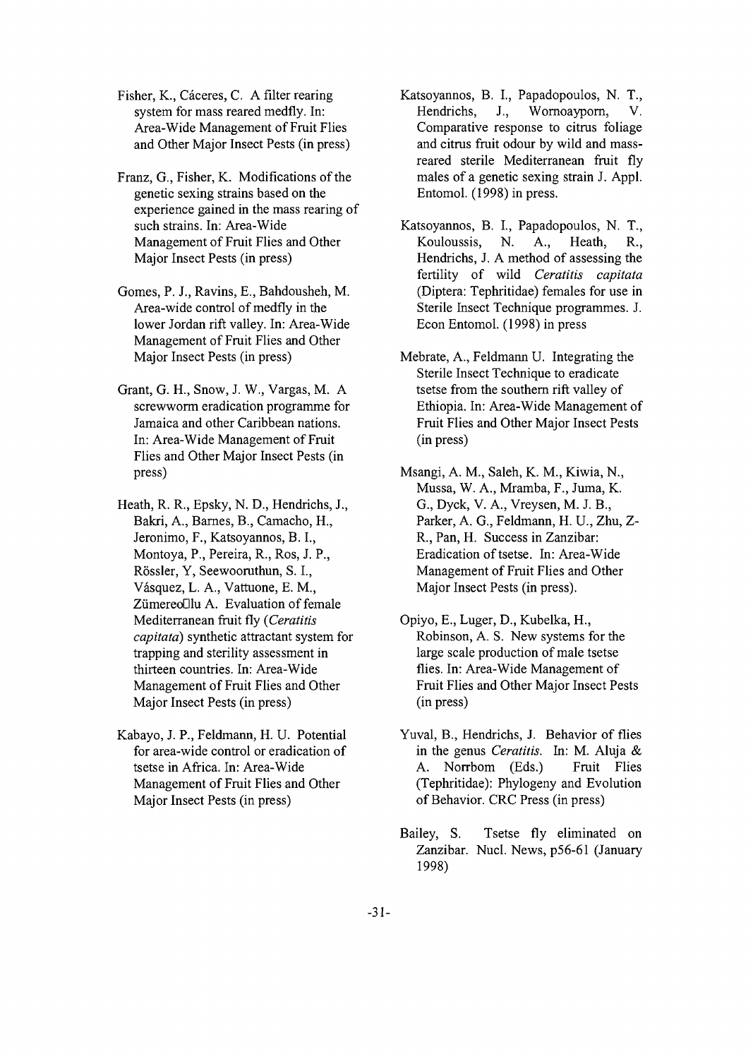Fisher, K., Cáceres, C. A filter rearing system for mass reared medfly. In: Area-Wide Management of Fruit Flies and Other Major Insect Pests (in press)

Franz, G., Fisher, K. Modifications of the genetic sexing strains based on the experience gained in the mass rearing of such strains. In: Area-Wide Management of Fruit Flies and Other Major Insect Pests (in press)

- Gomes, P. J., Ravins, E., Bahdousheh, M. Area-wide control of medfly in the lower Jordan rift valley. In: Area-Wide Management of Fruit Flies and Other Major Insect Pests (in press)
- Grant, G. H., Snow, J. W., Vargas, M. A screwworm eradication programme for Jamaica and other Caribbean nations. In: Area-Wide Management of Fruit Flies and Other Major Insect Pests (in press)
- Heath, R. R., Epsky, N. D., Hendrichs, J., Bakri, A., Barnes, B., Camacho, H., Jeronimo, F., Katsoyannos, B. I., Montoya, P., Pereira, R., Ros, J. P., Rössler, Y, Seewooruthun, S. I., Vasquez, L. A., Vattuone, E. M., Zümereo<sup>[]</sup>lu A. Evaluation of female Mediterranean fruit fly *(Ceratitis capitata)* synthetic attractant system for trapping and sterility assessment in thirteen countries. In: Area-Wide Management of Fruit Flies and Other Major Insect Pests (in press)
- Kabayo, J. P., Feldmann, H. U. Potential for area-wide control or eradication of tsetse in Africa. In: Area-Wide Management of Fruit Flies and Other Major Insect Pests (in press)
- Katsoyannos, B. I., Papadopoulos, N. T., Hendrichs, J., Wornoayporn, V. Comparative response to citrus foliage and citrus fruit odour by wild and massreared sterile Mediterranean fruit fly males of a genetic sexing strain J. Appl. Entomol. (1998) in press.
- Katsoyannos, B. I., Papadopoulos, N. T., Kouloussis, N. A., Heath, R., Hendrichs, J. A method of assessing the fertility of wild *Ceratitis capitata* (Diptera: Tephritidae) females for use in Sterile Insect Technique programmes. J. Econ Entomol. (1998) in press
- Mebrate, A., Feldmann U. Integrating the Sterile Insect Technique to eradicate tsetse from the southern rift valley of Ethiopia. In: Area-Wide Management of Fruit Flies and Other Major Insect Pests (in press)
- Msangi, A. M., Saleh, K. M., Kiwia, N., Mussa, W. A., Mramba, F., Juma, K. G., Dyck, V. A., Vreysen, M. J. B., Parker, A. G., Feldmann, H. U., Zhu, Z-R., Pan, H. Success in Zanzibar: Eradication of tsetse. In: Area-Wide Management of Fruit Flies and Other Major Insect Pests (in press).
- Opiyo, E., Luger, D., Kubelka, H., Robinson, A. S. New systems for the large scale production of male tsetse flies. In: Area-Wide Management of Fruit Flies and Other Major Insect Pests (in press)
- Yuval, B., Hendrichs, J. Behavior of flies in the genus *Ceratitis.* In: M. Aluja & A. Norrbom (Eds.) Fruit Flies (Tephritidae): Phylogeny and Evolution of Behavior. CRC Press (in press)
- Bailey, S. Tsetse fly eliminated on Zanzibar. Nucl. News, p56-61 (January 1998)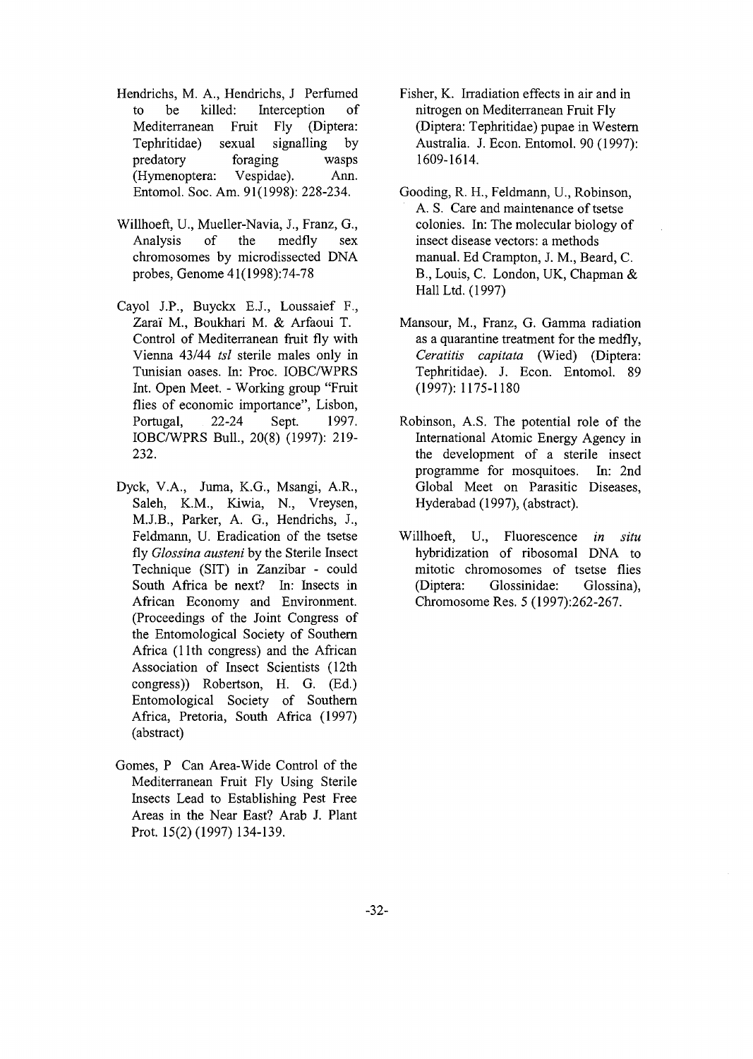- Hendrichs, M. A., Hendrichs, J Perfumed to be killed: Interception of Mediterranean Fruit Fly (Diptera: Tephritidae) sexual signalling by predatory foraging wasps (Hymenoptera: Vespidae). Ann. Entomol. Soc. Am. 91(1998): 228-234.
- Willhoeft, U., Mueller-Navia, J., Franz, G., Analysis of the medfly sex chromosomes by microdissected DNA probes, Genome 41(1998):74-78
- Cayol J.P., Buyckx E.J., Loussaief F., Zarai M., Boukhari M. & Arfaoui T. Control of Mediterranean fruit fly with Vienna 43/44 *tsl* sterile males only in Tunisian oases. In: Proc. IOBC/WPRS Int. Open Meet. - Working group "Fruit flies of economic importance", Lisbon, Portugal, 22-24 Sept. 1997. IOBC/WPRS Bull., 20(8) (1997): 219- 232.
- Dyck, V.A., Juma, K.G., Msangi, A.R., Saleh, K.M., Kiwia, N., Vreysen, M.J.B., Parker, A. G., Hendrichs, J., Feldmann, U. Eradication of the tsetse fly *Glossina austeni* by the Sterile Insect Technique (SIT) in Zanzibar - could South Africa be next? In: Insects in African Economy and Environment. (Proceedings of the Joint Congress of the Entomological Society of Southern Africa (11th congress) and the African Association of Insect Scientists (12th congress)) Robertson, H. G. (Ed.) Entomological Society of Southern Africa, Pretoria, South Africa (1997) (abstract)
- Gomes, P Can Area-Wide Control of the Mediterranean Fruit Fly Using Sterile Insects Lead to Establishing Pest Free Areas in the Near East? Arab J. Plant Prot. 15(2) (1997) 134-139.
- Fisher, K. Irradiation effects in air and in nitrogen on Mediterranean Fruit Fly (Diptera: Tephritidae) pupae in Western Australia. J. Econ. Entomol. 90 (1997): 1609-1614.
- Gooding, R. H., Feldmann, U., Robinson, A. S. Care and maintenance of tsetse colonies. In: The molecular biology of insect disease vectors: a methods manual. Ed Crampton, J. M., Beard, C. B., Louis, C. London, UK, Chapman & Hall Ltd. (1997)
- Mansour, M., Franz, G. Gamma radiation as a quarantine treatment for the medfly, *Ceratitis capitata* (Wied) (Diptera: Tephritidae). J. Econ. Entomol. 89 (1997): 1175-1180
- Robinson, A.S. The potential role of the International Atomic Energy Agency in the development of a sterile insect programme for mosquitoes. In: 2nd Global Meet on Parasitic Diseases, Hyderabad (1997), (abstract).
- Willhoeft, U., Fluorescence *in situ* hybridization of ribosomal DNA to mitotic chromosomes of tsetse flies (Diptera: Glossinidae: Glossina), Chromosome Res. 5 (1997):262-267.